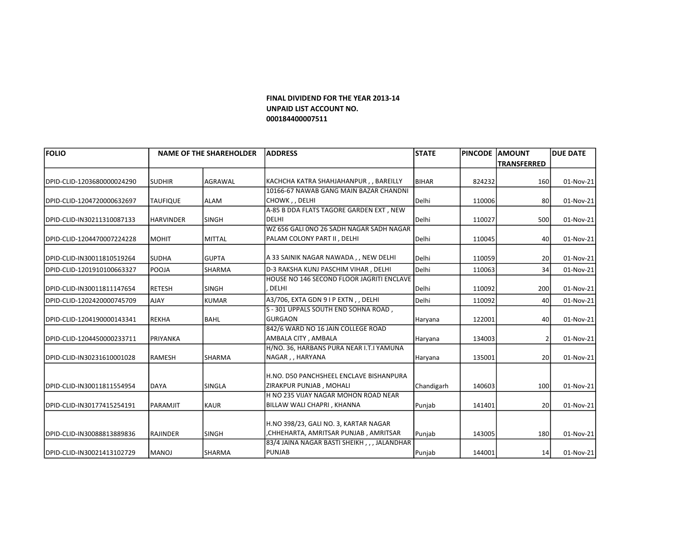## FINAL DIVIDEND FOR THE YEAR 2013-14 UNPAID LIST ACCOUNT NO. 000184400007511

| <b>FOLIO</b>                |                  | <b>NAME OF THE SHAREHOLDER</b> | <b>ADDRESS</b>                               | <b>STATE</b>   | PINCODE  AMOUNT |                    | <b>DUE DATE</b> |
|-----------------------------|------------------|--------------------------------|----------------------------------------------|----------------|-----------------|--------------------|-----------------|
|                             |                  |                                |                                              |                |                 | <b>TRANSFERRED</b> |                 |
|                             |                  |                                |                                              |                |                 |                    |                 |
| DPID-CLID-1203680000024290  | <b>SUDHIR</b>    | <b>AGRAWAL</b>                 | KACHCHA KATRA SHAHJAHANPUR,, BAREILLY        | <b>BIHAR</b>   | 824232          | 160                | 01-Nov-21       |
|                             |                  |                                | 10166-67 NAWAB GANG MAIN BAZAR CHANDNI       |                |                 |                    |                 |
| DPID-CLID-1204720000632697  | <b>TAUFIQUE</b>  | <b>ALAM</b>                    | CHOWK, , DELHI                               | <b>I</b> Delhi | 110006          | 80                 | 01-Nov-21       |
|                             |                  |                                | A-85 B DDA FLATS TAGORE GARDEN EXT, NEW      |                |                 |                    |                 |
| DPID-CLID-IN30211310087133  | <b>HARVINDER</b> | <b>SINGH</b>                   | <b>DELHI</b>                                 | lDelhi         | 110027          | 500                | 01-Nov-21       |
|                             |                  |                                | WZ 656 GALI 0NO 26 SADH NAGAR SADH NAGAR     |                |                 |                    |                 |
| DPID-CLID-1204470007224228  | <b>MOHIT</b>     | MITTAL                         | PALAM COLONY PART II, DELHI                  | lDelhi         | 110045          | 40                 | 01-Nov-21       |
| IDPID-CLID-IN30011810519264 | <b>SUDHA</b>     | <b>GUPTA</b>                   | A 33 SAINIK NAGAR NAWADA , , NEW DELHI       | lDelhi         | 110059          | 20                 | 01-Nov-21       |
| DPID-CLID-1201910100663327  | POOJA            | <b>SHARMA</b>                  | D-3 RAKSHA KUNJ PASCHIM VIHAR, DELHI         | Delhi          | 110063          | 34                 | 01-Nov-21       |
|                             |                  |                                | HOUSE NO 146 SECOND FLOOR JAGRITI ENCLAVE    |                |                 |                    |                 |
| DPID-CLID-IN30011811147654  | <b>RETESH</b>    | <b>SINGH</b>                   | DELHI                                        | lDeIhi         | 110092          | 200                | 01-Nov-21       |
| DPID-CLID-1202420000745709  | AJAY             | KUMAR                          | A3/706, EXTA GDN 9 I P EXTN, , DELHI         | Delhi          | 110092          | 40                 | 01-Nov-21       |
|                             |                  |                                | S - 301 UPPALS SOUTH END SOHNA ROAD,         |                |                 |                    |                 |
| DPID-CLID-1204190000143341  | <b>REKHA</b>     | <b>BAHL</b>                    | <b>GURGAON</b>                               | Haryana        | 122001          | 40                 | 01-Nov-21       |
|                             |                  |                                | 842/6 WARD NO 16 JAIN COLLEGE ROAD           |                |                 |                    |                 |
| DPID-CLID-1204450000233711  | <b>PRIYANKA</b>  |                                | AMBALA CITY, AMBALA                          | Haryana        | 134003          |                    | 01-Nov-21       |
|                             |                  |                                | H/NO. 36, HARBANS PURA NEAR I.T.I YAMUNA     |                |                 |                    |                 |
| DPID-CLID-IN30231610001028  | RAMESH           | SHARMA                         | NAGAR, , HARYANA                             | Haryana        | 135001          | 20                 | 01-Nov-21       |
|                             |                  |                                | H.NO. D50 PANCHSHEEL ENCLAVE BISHANPURA      |                |                 |                    |                 |
| DPID-CLID-IN30011811554954  | DAYA             | SINGLA                         | IZIRAKPUR PUNJAB , MOHALI                    | Chandigarh     | 140603          | 100                | 01-Nov-21       |
|                             |                  |                                | H NO 235 VIJAY NAGAR MOHON ROAD NEAR         |                |                 |                    |                 |
| DPID-CLID-IN30177415254191  | PARAMJIT         | KAUR                           | BILLAW WALI CHAPRI, KHANNA                   | Punjab         | 141401          | 20                 | 01-Nov-21       |
|                             |                  |                                |                                              |                |                 |                    |                 |
|                             |                  |                                | H.NO 398/23, GALI NO. 3, KARTAR NAGAR        |                |                 |                    |                 |
| DPID-CLID-IN30088813889836  | RAJINDER         | <b>SINGH</b>                   | CHHEHARTA, AMRITSAR PUNJAB, AMRITSAR         | Punjab         | 143005          | 180                | 01-Nov-21       |
|                             |                  |                                | 83/4 JAINA NAGAR BASTI SHEIKH, , , JALANDHAR |                |                 |                    |                 |
| IDPID-CLID-IN30021413102729 | <b>IMANOJ</b>    | <b>SHARMA</b>                  | <b>PUNJAB</b>                                | Punjab         | 144001          | 14                 | 01-Nov-21       |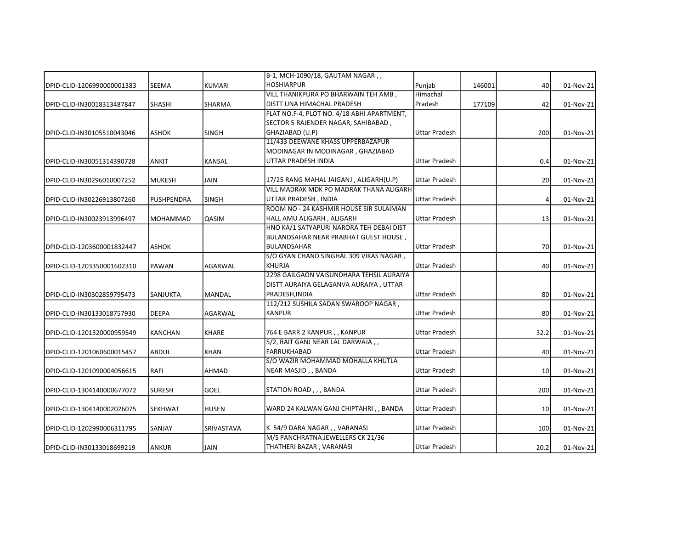|                            |                 |                | B-1, MCH-1090/18, GAUTAM NAGAR,,           |                      |        |                 |           |
|----------------------------|-----------------|----------------|--------------------------------------------|----------------------|--------|-----------------|-----------|
| DPID-CLID-1206990000001383 | <b>SEEMA</b>    | <b>KUMARI</b>  | <b>HOSHIARPUR</b>                          | Punjab               | 146001 | 40              | 01-Nov-21 |
|                            |                 |                | VILL THANIKPURA PO BHARWAIN TEH AMB,       | Himachal             |        |                 |           |
| DPID-CLID-IN30018313487847 | <b>SHASHI</b>   | SHARMA         | DISTT UNA HIMACHAL PRADESH                 | Pradesh              | 177109 | 42              | 01-Nov-21 |
|                            |                 |                | FLAT NO.F-4, PLOT NO. 4/18 ABHI APARTMENT, |                      |        |                 |           |
|                            |                 |                | SECTOR 5 RAJENDER NAGAR, SAHIBABAD,        |                      |        |                 |           |
| DPID-CLID-IN30105510043046 | <b>ASHOK</b>    | <b>SINGH</b>   | GHAZIABAD (U.P)                            | <b>Uttar Pradesh</b> |        | 200             | 01-Nov-21 |
|                            |                 |                | 11/433 DEEWANE KHASS UPPERBAZAPUR          |                      |        |                 |           |
|                            |                 |                | MODINAGAR IN MODINAGAR, GHAZIABAD          |                      |        |                 |           |
| DPID-CLID-IN30051314390728 | ANKIT           | <b>KANSAL</b>  | UTTAR PRADESH INDIA                        | <b>Uttar Pradesh</b> |        | 0.4             | 01-Nov-21 |
| DPID-CLID-IN30296010007252 | <b>MUKESH</b>   | <b>JAIN</b>    | 17/25 RANG MAHAL JAIGANJ, ALIGARH(U.P)     | <b>Uttar Pradesh</b> |        | 20              | 01-Nov-21 |
|                            |                 |                | VILL MADRAK MDK PO MADRAK THANA ALIGARH    |                      |        |                 |           |
| DPID-CLID-IN30226913807260 | PUSHPENDRA      | <b>SINGH</b>   | UTTAR PRADESH, INDIA                       | Uttar Pradesh        |        | 4               | 01-Nov-21 |
|                            |                 |                | ROOM NO - 24 KASHMIR HOUSE SIR SULAIMAN    |                      |        |                 |           |
| DPID-CLID-IN30023913996497 | MOHAMMAD        | QASIM          | HALL AMU ALIGARH, ALIGARH                  | <b>Uttar Pradesh</b> |        | 13              | 01-Nov-21 |
|                            |                 |                | HNO KA/1 SATYAPURI NARORA TEH DEBAI DIST   |                      |        |                 |           |
|                            |                 |                | BULANDSAHAR NEAR PRABHAT GUEST HOUSE,      |                      |        |                 |           |
| DPID-CLID-1203600001832447 | <b>ASHOK</b>    |                | <b>BULANDSAHAR</b>                         | <b>Uttar Pradesh</b> |        | 70              | 01-Nov-21 |
|                            |                 |                | S/O GYAN CHAND SINGHAL 309 VIKAS NAGAR,    |                      |        |                 |           |
| DPID-CLID-1203350001602310 | <b>PAWAN</b>    | AGARWAL        | <b>KHURJA</b>                              | Uttar Pradesh        |        | 40              | 01-Nov-21 |
|                            |                 |                | 2298 GAILGAON VAISUNDHARA TEHSIL AURAIYA   |                      |        |                 |           |
|                            |                 |                | DISTT AURAIYA GELAGANVA AURAIYA, UTTAR     |                      |        |                 |           |
| DPID-CLID-IN30302859795473 | <b>SANJUKTA</b> | <b>MANDAL</b>  | PRADESH, INDIA                             | <b>Uttar Pradesh</b> |        | 80              | 01-Nov-21 |
|                            |                 |                | 112/212 SUSHILA SADAN SWAROOP NAGAR,       |                      |        |                 |           |
| DPID-CLID-IN30133018757930 | <b>DEEPA</b>    | <b>AGARWAL</b> | <b>KANPUR</b>                              | <b>Uttar Pradesh</b> |        | 80              | 01-Nov-21 |
| DPID-CLID-1201320000959549 | <b>KANCHAN</b>  | <b>KHARE</b>   | 764 E BARR 2 KANPUR, , KANPUR              | <b>Uttar Pradesh</b> |        | 32.2            | 01-Nov-21 |
|                            |                 |                | 5/2, RAIT GANJ NEAR LAL DARWAJA,,          |                      |        |                 |           |
| DPID-CLID-1201060600015457 | <b>ABDUL</b>    | <b>KHAN</b>    | <b>FARRUKHABAD</b>                         | <b>Uttar Pradesh</b> |        | 40              | 01-Nov-21 |
|                            |                 |                | S/O WAZIR MOHAMMAD MOHALLA KHUTLA          |                      |        |                 |           |
| DPID-CLID-1201090004056615 | RAFI            | AHMAD          | NEAR MASJID, , BANDA                       | <b>Uttar Pradesh</b> |        | 10 <sup>1</sup> | 01-Nov-21 |
| DPID-CLID-1304140000677072 | <b>SURESH</b>   | <b>GOEL</b>    | STATION ROAD, , , BANDA                    | Uttar Pradesh        |        | 200             | 01-Nov-21 |
|                            |                 |                |                                            |                      |        |                 |           |
| DPID-CLID-1304140002026075 | <b>SEKHWAT</b>  | <b>HUSEN</b>   | WARD 24 KALWAN GANJ CHIPTAHRI,, BANDA      | Uttar Pradesh        |        | 10              | 01-Nov-21 |
|                            |                 |                | K 54/9 DARA NAGAR , , VARANASI             | <b>Uttar Pradesh</b> |        |                 |           |
| DPID-CLID-1202990006311795 | SANJAY          | SRIVASTAVA     | M/S PANCHRATNA JEWELLERS CK 21/36          |                      |        | 100             | 01-Nov-21 |
|                            |                 |                |                                            | <b>Uttar Pradesh</b> |        |                 |           |
| DPID-CLID-IN30133018699219 | <b>ANKUR</b>    | <b>JAIN</b>    | THATHERI BAZAR, VARANASI                   |                      |        | 20.2            | 01-Nov-21 |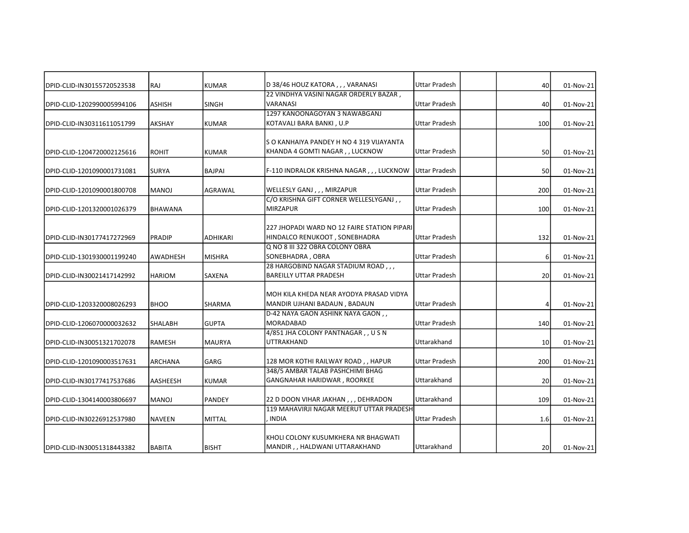| DPID-CLID-IN30155720523538 | RAJ             | KUMAR           | D 38/46 HOUZ KATORA,,, VARANASI                                                   | Uttar Pradesh        | 40              | 01-Nov-21 |
|----------------------------|-----------------|-----------------|-----------------------------------------------------------------------------------|----------------------|-----------------|-----------|
|                            |                 |                 | 22 VINDHYA VASINI NAGAR ORDERLY BAZAR.                                            |                      |                 |           |
| DPID-CLID-1202990005994106 | ASHISH          | <b>SINGH</b>    | <b>VARANASI</b>                                                                   | <b>Uttar Pradesh</b> | 40              | 01-Nov-21 |
|                            |                 |                 | 1297 KANOONAGOYAN 3 NAWABGANJ                                                     |                      |                 |           |
| DPID-CLID-IN30311611051799 | <b>AKSHAY</b>   | KUMAR           | KOTAVALI BARA BANKI, U.P                                                          | <b>Uttar Pradesh</b> | 100             | 01-Nov-21 |
|                            |                 |                 |                                                                                   |                      |                 |           |
|                            |                 |                 | S O KANHAIYA PANDEY H NO 4 319 VIJAYANTA                                          |                      |                 |           |
| DPID-CLID-1204720002125616 | <b>ROHIT</b>    | <b>KUMAR</b>    | KHANDA 4 GOMTI NAGAR, , LUCKNOW                                                   | <b>Uttar Pradesh</b> | 50              | 01-Nov-21 |
| DPID-CLID-1201090001731081 | <b>SURYA</b>    | <b>BAJPAI</b>   | F-110 INDRALOK KRISHNA NAGAR,,, LUCKNOW                                           | <b>Uttar Pradesh</b> | 50              | 01-Nov-21 |
| DPID-CLID-1201090001800708 | <b>MANOJ</b>    | <b>AGRAWAL</b>  | WELLESLY GANJ,,, MIRZAPUR                                                         | <b>Uttar Pradesh</b> | 200             | 01-Nov-21 |
|                            |                 |                 | C/O KRISHNA GIFT CORNER WELLESLYGANJ,                                             |                      |                 |           |
| DPID-CLID-1201320001026379 | <b>BHAWANA</b>  |                 | <b>MIRZAPUR</b>                                                                   | <b>Uttar Pradesh</b> | 100             | 01-Nov-21 |
|                            |                 |                 |                                                                                   |                      |                 |           |
|                            |                 |                 | 227 JHOPADI WARD NO 12 FAIRE STATION PIPARI                                       |                      |                 |           |
| DPID-CLID-IN30177417272969 | <b>PRADIP</b>   | <b>ADHIKARI</b> | HINDALCO RENUKOOT, SONEBHADRA                                                     | <b>Uttar Pradesh</b> | 132             | 01-Nov-21 |
|                            |                 |                 | Q NO 8 III 322 OBRA COLONY OBRA                                                   |                      |                 |           |
| DPID-CLID-1301930001199240 | <b>AWADHESH</b> | MISHRA          | SONEBHADRA, OBRA                                                                  | <b>Uttar Pradesh</b> | 6               | 01-Nov-21 |
|                            |                 |                 | 28 HARGOBIND NAGAR STADIUM ROAD,,,                                                |                      |                 |           |
| DPID-CLID-IN30021417142992 | <b>HARIOM</b>   | <b>SAXENA</b>   | <b>BAREILLY UTTAR PRADESH</b>                                                     | <b>Uttar Pradesh</b> | 20              | 01-Nov-21 |
|                            |                 |                 |                                                                                   |                      |                 |           |
|                            |                 |                 | MOH KILA KHEDA NEAR AYODYA PRASAD VIDYA                                           |                      |                 |           |
| DPID-CLID-1203320008026293 | <b>BHOO</b>     | <b>SHARMA</b>   | MANDIR UJHANI BADAUN, BADAUN                                                      | Uttar Pradesh        |                 | 01-Nov-21 |
|                            |                 |                 | D-42 NAYA GAON ASHINK NAYA GAON,,                                                 |                      |                 |           |
| DPID-CLID-1206070000032632 | <b>SHALABH</b>  | <b>GUPTA</b>    | <b>MORADABAD</b>                                                                  | <b>Uttar Pradesh</b> | 140             | 01-Nov-21 |
|                            |                 |                 | 4/851 JHA COLONY PANTNAGAR, , U S N                                               |                      |                 |           |
| DPID-CLID-IN30051321702078 | <b>RAMESH</b>   | <b>MAURYA</b>   | <b>UTTRAKHAND</b>                                                                 | Uttarakhand          | 10              | 01-Nov-21 |
| DPID-CLID-1201090003517631 | <b>ARCHANA</b>  | GARG            | 128 MOR KOTHI RAILWAY ROAD, , HAPUR                                               | <b>Uttar Pradesh</b> | 200             | 01-Nov-21 |
|                            |                 |                 | 348/5 AMBAR TALAB PASHCHIMI BHAG                                                  |                      |                 |           |
| DPID-CLID-IN30177417537686 | <b>AASHEESH</b> | <b>KUMAR</b>    | GANGNAHAR HARIDWAR, ROORKEE                                                       | Uttarakhand          | 20              | 01-Nov-21 |
|                            |                 |                 |                                                                                   | Uttarakhand          |                 |           |
| DPID-CLID-1304140003806697 | <b>MANOJ</b>    | PANDEY          | 22 D DOON VIHAR JAKHAN , , , DEHRADON<br>119 MAHAVIRJI NAGAR MEERUT UTTAR PRADESH |                      | 109             | 01-Nov-21 |
|                            |                 |                 |                                                                                   |                      |                 |           |
| DPID-CLID-IN30226912537980 | <b>NAVEEN</b>   | MITTAL          | , INDIA                                                                           | Uttar Pradesh        | 1.6             | 01-Nov-21 |
|                            |                 |                 | KHOLI COLONY KUSUMKHERA NR BHAGWATI                                               |                      |                 |           |
| DPID-CLID-IN30051318443382 | BABITA          | <b>BISHT</b>    | MANDIR,, HALDWANI UTTARAKHAND                                                     | Uttarakhand          | 20 <sup>1</sup> | 01-Nov-21 |
|                            |                 |                 |                                                                                   |                      |                 |           |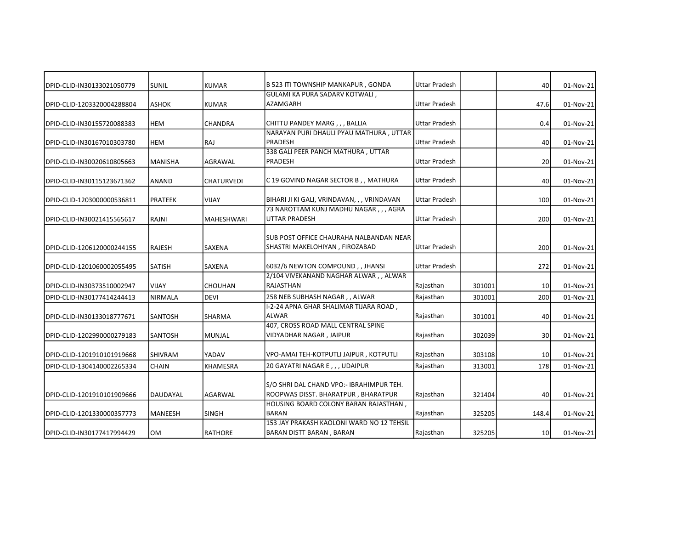| DPID-CLID-IN30133021050779 | <b>SUNIL</b>   | <b>KUMAR</b>      | B 523 ITI TOWNSHIP MANKAPUR, GONDA          | <b>Uttar Pradesh</b> |        | 40    | 01-Nov-21 |
|----------------------------|----------------|-------------------|---------------------------------------------|----------------------|--------|-------|-----------|
|                            |                |                   | GULAMI KA PURA SADARV KOTWALI,              |                      |        |       |           |
| DPID-CLID-1203320004288804 | <b>ASHOK</b>   | <b>KUMAR</b>      | AZAMGARH                                    | <b>Uttar Pradesh</b> |        | 47.6  | 01-Nov-21 |
| DPID-CLID-IN30155720088383 | <b>HEM</b>     | <b>CHANDRA</b>    | CHITTU PANDEY MARG,,, BALLIA                | Uttar Pradesh        |        | 0.4   | 01-Nov-21 |
|                            |                |                   | NARAYAN PURI DHAULI PYAU MATHURA, UTTAR     |                      |        |       |           |
| DPID-CLID-IN30167010303780 | <b>HEM</b>     | RAJ               | <b>PRADESH</b>                              | <b>Uttar Pradesh</b> |        | 40    | 01-Nov-21 |
|                            |                |                   | 338 GALI PEER PANCH MATHURA, UTTAR          |                      |        |       |           |
| DPID-CLID-IN30020610805663 | <b>MANISHA</b> | AGRAWAL           | <b>PRADESH</b>                              | <b>Uttar Pradesh</b> |        | 20    | 01-Nov-21 |
| DPID-CLID-IN30115123671362 | <b>ANAND</b>   | <b>CHATURVEDI</b> | C 19 GOVIND NAGAR SECTOR B,, MATHURA        | <b>Uttar Pradesh</b> |        | 40    | 01-Nov-21 |
| DPID-CLID-1203000000536811 | <b>PRATEEK</b> | <b>VIJAY</b>      | BIHARI JI KI GALI, VRINDAVAN, , , VRINDAVAN | Uttar Pradesh        |        | 100   | 01-Nov-21 |
|                            |                |                   | 73 NAROTTAM KUNJ MADHU NAGAR,,, AGRA        |                      |        |       |           |
| DPID-CLID-IN30021415565617 | RAJNI          | MAHESHWARI        | <b>UTTAR PRADESH</b>                        | <b>Uttar Pradesh</b> |        | 200   | 01-Nov-21 |
|                            |                |                   | SUB POST OFFICE CHAURAHA NALBANDAN NEAR     |                      |        |       |           |
| DPID-CLID-1206120000244155 | <b>RAJESH</b>  | <b>SAXENA</b>     | SHASTRI MAKELOHIYAN , FIROZABAD             | <b>Uttar Pradesh</b> |        | 200   | 01-Nov-21 |
|                            |                |                   |                                             |                      |        |       |           |
| DPID-CLID-1201060002055495 | <b>SATISH</b>  | <b>SAXENA</b>     | 6032/6 NEWTON COMPOUND, , JHANSI            | <b>Uttar Pradesh</b> |        | 272   | 01-Nov-21 |
|                            |                |                   | 2/104 VIVEKANAND NAGHAR ALWAR, , ALWAR      |                      |        |       |           |
| DPID-CLID-IN30373510002947 | <b>VIJAY</b>   | <b>CHOUHAN</b>    | RAJASTHAN                                   | Rajasthan            | 301001 | 10    | 01-Nov-21 |
| DPID-CLID-IN30177414244413 | <b>NIRMALA</b> | <b>DEVI</b>       | 258 NEB SUBHASH NAGAR, , ALWAR              | Rajasthan            | 301001 | 200   | 01-Nov-21 |
|                            |                |                   | I-2-24 APNA GHAR SHALIMAR TIJARA ROAD,      |                      |        |       |           |
| DPID-CLID-IN30133018777671 | <b>SANTOSH</b> | <b>SHARMA</b>     | ALWAR                                       | Rajasthan            | 301001 | 40    | 01-Nov-21 |
|                            |                |                   | 407, CROSS ROAD MALL CENTRAL SPINE          |                      |        |       |           |
| DPID-CLID-1202990000279183 | <b>SANTOSH</b> | <b>MUNJAL</b>     | VIDYADHAR NAGAR, JAIPUR                     | Rajasthan            | 302039 | 30    | 01-Nov-21 |
| DPID-CLID-1201910101919668 | <b>SHIVRAM</b> | YADAV             | VPO-AMAI TEH-KOTPUTLI JAIPUR, KOTPUTLI      | Rajasthan            | 303108 | 10    | 01-Nov-21 |
| DPID-CLID-1304140002265334 | <b>CHAIN</b>   | <b>KHAMESRA</b>   | 20 GAYATRI NAGAR E,,, UDAIPUR               | Rajasthan            | 313001 | 178   | 01-Nov-21 |
|                            |                |                   |                                             |                      |        |       |           |
|                            |                |                   | S/O SHRI DAL CHAND VPO:- IBRAHIMPUR TEH.    |                      |        |       |           |
| DPID-CLID-1201910101909666 | DAUDAYAL       | <b>AGARWAL</b>    | ROOPWAS DISST. BHARATPUR, BHARATPUR         | Rajasthan            | 321404 | 40    | 01-Nov-21 |
|                            |                |                   | HOUSING BOARD COLONY BARAN RAJASTHAN,       |                      |        |       |           |
| DPID-CLID-1201330000357773 | <b>MANEESH</b> | <b>SINGH</b>      | <b>BARAN</b>                                | Rajasthan            | 325205 | 148.4 | 01-Nov-21 |
|                            |                |                   | 153 JAY PRAKASH KAOLONI WARD NO 12 TEHSIL   |                      |        |       |           |
| DPID-CLID-IN30177417994429 | <b>OM</b>      | RATHORE           | BARAN DISTT BARAN, BARAN                    | Rajasthan            | 325205 | 10    | 01-Nov-21 |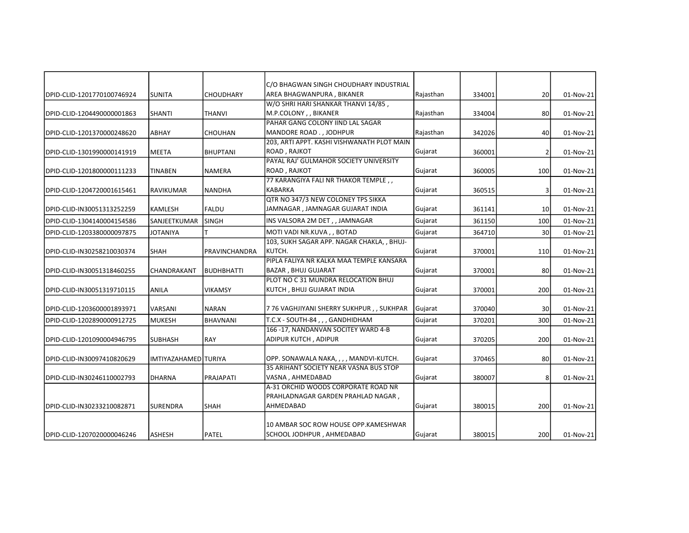|                            |                      |                  | C/O BHAGWAN SINGH CHOUDHARY INDUSTRIAL     |           |        |                 |           |
|----------------------------|----------------------|------------------|--------------------------------------------|-----------|--------|-----------------|-----------|
| DPID-CLID-1201770100746924 | <b>SUNITA</b>        | <b>CHOUDHARY</b> | AREA BHAGWANPURA, BIKANER                  | Rajasthan | 334001 | 20              | 01-Nov-21 |
|                            |                      |                  | W/O SHRI HARI SHANKAR THANVI 14/85,        |           |        |                 |           |
| DPID-CLID-1204490000001863 | <b>SHANTI</b>        | <b>THANVI</b>    | M.P.COLONY, , BIKANER                      | Rajasthan | 334004 | 80 <sup>2</sup> | 01-Nov-21 |
|                            |                      |                  | PAHAR GANG COLONY IIND LAL SAGAR           |           |        |                 |           |
| DPID-CLID-1201370000248620 | <b>ABHAY</b>         | <b>CHOUHAN</b>   | MANDORE ROAD., JODHPUR                     | Rajasthan | 342026 | 40              | 01-Nov-21 |
|                            |                      |                  | 203, ARTI APPT. KASHI VISHWANATH PLOT MAIN |           |        |                 |           |
| DPID-CLID-1301990000141919 | <b>MEETA</b>         | <b>BHUPTANI</b>  | ROAD, RAJKOT                               | Gujarat   | 360001 | $\overline{2}$  | 01-Nov-21 |
|                            |                      |                  | PAYAL RAJ' GULMAHOR SOCIETY UNIVERSITY     |           |        |                 |           |
| DPID-CLID-1201800000111233 | <b>TINABEN</b>       | <b>NAMERA</b>    | <b>ROAD, RAJKOT</b>                        | Gujarat   | 360005 | 100             | 01-Nov-21 |
|                            |                      |                  | 77 KARANGIYA FALI NR THAKOR TEMPLE,        |           |        |                 |           |
| DPID-CLID-1204720001615461 | <b>RAVIKUMAR</b>     | <b>NANDHA</b>    | <b>KABARKA</b>                             | Gujarat   | 360515 | 3               | 01-Nov-21 |
|                            |                      |                  | QTR NO 347/3 NEW COLONEY TPS SIKKA         |           |        |                 |           |
| DPID-CLID-IN30051313252259 | <b>KAMLESH</b>       | FALDU            | JAMNAGAR , JAMNAGAR GUJARAT INDIA          | Gujarat   | 361141 | 10 <sup>1</sup> | 01-Nov-21 |
| DPID-CLID-1304140004154586 | SANJEETKUMAR         | <b>SINGH</b>     | INS VALSORA 2M DET,, JAMNAGAR              | Gujarat   | 361150 | 100             | 01-Nov-21 |
| DPID-CLID-1203380000097875 | JOTANIYA             | т                | MOTI VADI NR.KUVA , , BOTAD                | Gujarat   | 364710 | 30              | 01-Nov-21 |
|                            |                      |                  | 103, SUKH SAGAR APP. NAGAR CHAKLA, , BHUJ- |           |        |                 |           |
| DPID-CLID-IN30258210030374 | <b>SHAH</b>          | PRAVINCHANDRA    | KUTCH.                                     | Gujarat   | 370001 | 110             | 01-Nov-21 |
|                            |                      |                  | PIPLA FALIYA NR KALKA MAA TEMPLE KANSARA   |           |        |                 |           |
| DPID-CLID-IN30051318460255 | CHANDRAKANT          | BUDHBHATTI       | <b>BAZAR, BHUJ GUJARAT</b>                 | Gujarat   | 370001 | 80              | 01-Nov-21 |
|                            |                      |                  | PLOT NO C 31 MUNDRA RELOCATION BHUJ        |           |        |                 |           |
| DPID-CLID-IN30051319710115 | <b>ANILA</b>         | <b>VIKAMSY</b>   | KUTCH , BHUJ GUJARAT INDIA                 | Gujarat   | 370001 | 200             | 01-Nov-21 |
|                            |                      |                  |                                            |           |        |                 |           |
| DPID-CLID-1203600001893971 | VARSANI              | <b>NARAN</b>     | 7 76 VAGHJIYANI SHERRY SUKHPUR , , SUKHPAR | Gujarat   | 370040 | 30              | 01-Nov-21 |
| DPID-CLID-1202890000912725 | <b>MUKESH</b>        | <b>BHAVNANI</b>  | T.C.X - SOUTH-84,,, GANDHIDHAM             | Gujarat   | 370201 | 300             | 01-Nov-21 |
|                            |                      |                  | 166-17, NANDANVAN SOCITEY WARD 4-B         |           |        |                 |           |
| DPID-CLID-1201090004946795 | <b>SUBHASH</b>       | RAY              | <b>ADIPUR KUTCH, ADIPUR</b>                | Gujarat   | 370205 | 200             | 01-Nov-21 |
|                            |                      |                  | OPP. SONAWALA NAKA, , , , MANDVI-KUTCH.    | Gujarat   |        | 80              |           |
| DPID-CLID-IN30097410820629 | IMTIYAZAHAMED TURIYA |                  | 35 ARIHANT SOCIETY NEAR VASNA BUS STOP     |           | 370465 |                 | 01-Nov-21 |
|                            |                      |                  | VASNA, AHMEDABAD                           |           |        |                 |           |
| DPID-CLID-IN30246110002793 | <b>DHARNA</b>        | PRAJAPATI        | A-31 ORCHID WOODS CORPORATE ROAD NR        | Gujarat   | 380007 | 8               | 01-Nov-21 |
|                            |                      |                  | PRAHLADNAGAR GARDEN PRAHLAD NAGAR,         |           |        |                 |           |
| DPID-CLID-IN30233210082871 | <b>SURENDRA</b>      | <b>SHAH</b>      | AHMEDABAD                                  | Gujarat   | 380015 | 200             | 01-Nov-21 |
|                            |                      |                  |                                            |           |        |                 |           |
|                            |                      |                  | 10 AMBAR SOC ROW HOUSE OPP.KAMESHWAR       |           |        |                 |           |
| DPID-CLID-1207020000046246 | ASHESH               | PATEL            | SCHOOL JODHPUR, AHMEDABAD                  | Gujarat   | 380015 | 200             | 01-Nov-21 |
|                            |                      |                  |                                            |           |        |                 |           |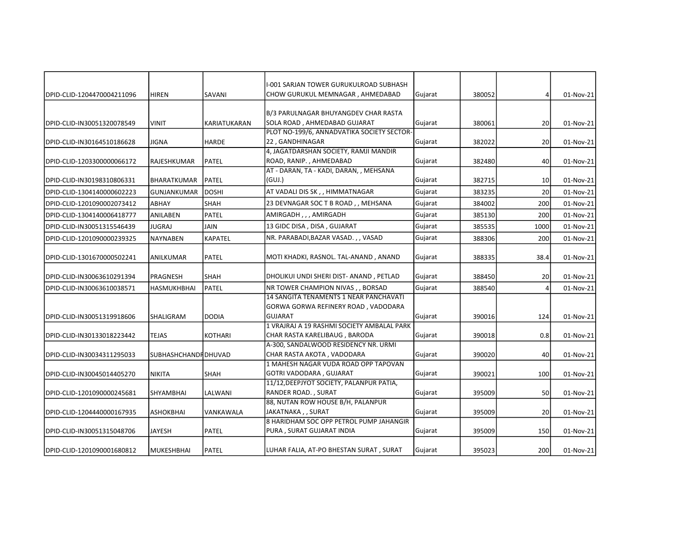|                            |                      |                | I-001 SARJAN TOWER GURUKULROAD SUBHASH                                        |         |        |                 |           |
|----------------------------|----------------------|----------------|-------------------------------------------------------------------------------|---------|--------|-----------------|-----------|
| DPID-CLID-1204470004211096 | <b>HIREN</b>         | SAVANI         | CHOW GURUKUL MEMNAGAR, AHMEDABAD                                              | Gujarat | 380052 | 4               | 01-Nov-21 |
|                            |                      |                |                                                                               |         |        |                 |           |
| DPID-CLID-IN30051320078549 | <b>VINIT</b>         | KARIATUKARAN   | B/3 PARULNAGAR BHUYANGDEV CHAR RASTA<br>SOLA ROAD, AHMEDABAD GUJARAT          | Gujarat | 380061 | 20              | 01-Nov-21 |
|                            |                      |                | PLOT NO-199/6, ANNADVATIKA SOCIETY SECTOR-                                    |         |        |                 |           |
| DPID-CLID-IN30164510186628 | JIGNA                | <b>HARDE</b>   | 22, GANDHINAGAR                                                               | Gujarat | 382022 | 20              | 01-Nov-21 |
|                            |                      |                | 4, JAGATDARSHAN SOCIETY, RAMJI MANDIR                                         |         |        |                 |           |
| DPID-CLID-1203300000066172 | RAJESHKUMAR          | PATEL          | ROAD, RANIP., AHMEDABAD                                                       | Gujarat | 382480 | 40              | 01-Nov-21 |
|                            |                      |                | AT - DARAN, TA - KADI, DARAN, , MEHSANA                                       |         |        |                 |           |
| DPID-CLID-IN30198310806331 | BHARATKUMAR          | PATEL          | (GUI.)                                                                        | Gujarat | 382715 | 10 <sup>1</sup> | 01-Nov-21 |
| DPID-CLID-1304140000602223 | GUNJANKUMAR          | <b>DOSHI</b>   | AT VADALI DIS SK,, HIMMATNAGAR                                                | Gujarat | 383235 | 20 <sup>1</sup> | 01-Nov-21 |
| DPID-CLID-1201090002073412 | ABHAY                | <b>SHAH</b>    | 23 DEVNAGAR SOC T B ROAD, , MEHSANA                                           | Gujarat | 384002 | 200             | 01-Nov-21 |
| DPID-CLID-1304140006418777 | ANILABEN             | PATEL          | AMIRGADH,,, AMIRGADH                                                          | Gujarat | 385130 | 200             | 01-Nov-21 |
| DPID-CLID-IN30051315546439 | <b>JUGRAJ</b>        | <b>JAIN</b>    | 13 GIDC DISA, DISA, GUJARAT                                                   | Gujarat | 385535 | 1000            | 01-Nov-21 |
| DPID-CLID-1201090000239325 | NAYNABEN             | <b>KAPATEL</b> | NR. PARABADI, BAZAR VASAD., , VASAD                                           | Gujarat | 388306 | 200             | 01-Nov-21 |
| DPID-CLID-1301670000502241 | <b>ANILKUMAR</b>     | PATEL          | MOTI KHADKI, RASNOL. TAL-ANAND, ANAND                                         | Gujarat | 388335 | 38.4            | 01-Nov-21 |
| DPID-CLID-IN30063610291394 | PRAGNESH             | <b>SHAH</b>    | DHOLIKUI UNDI SHERI DIST- ANAND, PETLAD                                       | Gujarat | 388450 | 20 <sup>2</sup> | 01-Nov-21 |
| DPID-CLID-IN30063610038571 | HASMUKHBHAI          | PATEL          | NR TOWER CHAMPION NIVAS, , BORSAD                                             | Gujarat | 388540 | 4               | 01-Nov-21 |
|                            |                      |                | 14 SANGITA TENAMENTS 1 NEAR PANCHAVATI<br>GORWA GORWA REFINERY ROAD, VADODARA |         |        |                 |           |
| DPID-CLID-IN30051319918606 | SHALIGRAM            | DODIA          | <b>GUJARAT</b>                                                                | Gujarat | 390016 | 124             | 01-Nov-21 |
|                            |                      |                | 1 VRAJRAJ A 19 RASHMI SOCIETY AMBALAL PARK                                    |         |        |                 |           |
| DPID-CLID-IN30133018223442 | TEJAS                | <b>KOTHARI</b> | CHAR RASTA KARELIBAUG, BARODA                                                 | Gujarat | 390018 | 0.8             | 01-Nov-21 |
|                            |                      |                | A-300, SANDALWOOD RESIDENCY NR. URMI                                          |         |        |                 |           |
| DPID-CLID-IN30034311295033 | SUBHASHCHANDFIDHUVAD |                | CHAR RASTA AKOTA , VADODARA                                                   | Gujarat | 390020 | 40              | 01-Nov-21 |
|                            |                      |                | 1 MAHESH NAGAR VUDA ROAD OPP TAPOVAN                                          |         |        |                 |           |
| DPID-CLID-IN30045014405270 | <b>NIKITA</b>        | <b>SHAH</b>    | GOTRI VADODARA, GUJARAT<br>11/12, DEEPJYOT SOCIETY, PALANPUR PATIA,           | Gujarat | 390021 | 100             | 01-Nov-21 |
| DPID-CLID-1201090000245681 | SHYAMBHAI            | LALWANI        | RANDER ROAD., SURAT                                                           | Gujarat | 395009 | 50              | 01-Nov-21 |
|                            |                      |                | 88, NUTAN ROW HOUSE B/H, PALANPUR                                             |         |        |                 |           |
| DPID-CLID-1204440000167935 | <b>ASHOKBHAI</b>     | VANKAWALA      | JAKATNAKA, , SURAT                                                            | Gujarat | 395009 | 20 <sup>1</sup> | 01-Nov-21 |
|                            |                      |                | 8 HARIDHAM SOC OPP PETROL PUMP JAHANGIR                                       |         |        |                 |           |
| DPID-CLID-IN30051315048706 | <b>JAYESH</b>        | PATEL          | PURA, SURAT GUJARAT INDIA                                                     | Gujarat | 395009 | 150             | 01-Nov-21 |
| DPID-CLID-1201090001680812 | MUKESHBHAI           | PATEL          | LUHAR FALIA, AT-PO BHESTAN SURAT, SURAT                                       | Gujarat | 395023 | 200             | 01-Nov-21 |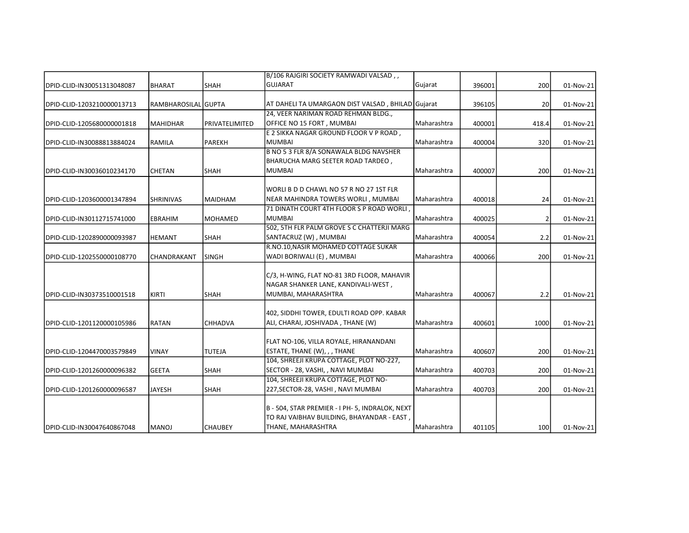|                            |                     |                | B/106 RAJGIRI SOCIETY RAMWADI VALSAD,,            |                    |        |                  |           |
|----------------------------|---------------------|----------------|---------------------------------------------------|--------------------|--------|------------------|-----------|
| DPID-CLID-IN30051313048087 | <b>BHARAT</b>       | <b>SHAH</b>    | <b>GUJARAT</b>                                    | Gujarat            | 396001 | 200              | 01-Nov-21 |
| DPID-CLID-1203210000013713 | RAMBHAROSILAL GUPTA |                | AT DAHELI TA UMARGAON DIST VALSAD, BHILAD Gujarat |                    | 396105 | 20 <sup>1</sup>  | 01-Nov-21 |
|                            |                     |                | 24, VEER NARIMAN ROAD REHMAN BLDG.,               |                    |        |                  |           |
| DPID-CLID-1205680000001818 | <b>MAHIDHAR</b>     | PRIVATELIMITED | OFFICE NO 15 FORT, MUMBAI                         | Maharashtra        | 400001 | 418.4            | 01-Nov-21 |
|                            |                     |                | E 2 SIKKA NAGAR GROUND FLOOR V P ROAD,            |                    |        |                  |           |
| DPID-CLID-IN30088813884024 | RAMILA              | PAREKH         | <b>MUMBAI</b>                                     | Maharashtra        | 400004 | 320              | 01-Nov-21 |
|                            |                     |                | B NO 5 3 FLR 8/A SONAWALA BLDG NAVSHER            |                    |        |                  |           |
|                            |                     |                | BHARUCHA MARG SEETER ROAD TARDEO,                 |                    |        |                  |           |
| DPID-CLID-IN30036010234170 | <b>CHETAN</b>       | SHAH           | <b>MUMBAI</b>                                     | Maharashtra        | 400007 | 200              | 01-Nov-21 |
|                            |                     |                | WORLI B D D CHAWL NO 57 R NO 27 1ST FLR           |                    |        |                  |           |
| DPID-CLID-1203600001347894 | <b>SHRINIVAS</b>    | <b>MAIDHAM</b> | NEAR MAHINDRA TOWERS WORLI, MUMBAI                | <b>Maharashtra</b> | 400018 | 24               | 01-Nov-21 |
|                            |                     |                | 71 DINATH COURT 4TH FLOOR S P ROAD WORLI          |                    |        |                  |           |
| DPID-CLID-IN30112715741000 | <b>EBRAHIM</b>      | <b>MOHAMED</b> | <b>MUMBAI</b>                                     | Maharashtra        | 400025 | $\overline{2}$   | 01-Nov-21 |
|                            |                     |                | 502, 5TH FLR PALM GROVE S C CHATTERJI MARG        |                    |        |                  |           |
| DPID-CLID-1202890000093987 | <b>HEMANT</b>       | <b>SHAH</b>    | SANTACRUZ (W), MUMBAI                             | Maharashtra        | 400054 | 2.2              | 01-Nov-21 |
|                            |                     |                | R.NO.10, NASIR MOHAMED COTTAGE SUKAR              |                    |        |                  |           |
| DPID-CLID-1202550000108770 | CHANDRAKANT         | <b>SINGH</b>   | WADI BORIWALI (E), MUMBAI                         | <b>Maharashtra</b> | 400066 | 200              | 01-Nov-21 |
|                            |                     |                | C/3, H-WING, FLAT NO-81 3RD FLOOR, MAHAVIR        |                    |        |                  |           |
|                            |                     |                | NAGAR SHANKER LANE, KANDIVALI-WEST,               |                    |        |                  |           |
| DPID-CLID-IN30373510001518 | KIRTI               | <b>SHAH</b>    | MUMBAI, MAHARASHTRA                               | Maharashtra        | 400067 | 2.2              | 01-Nov-21 |
|                            |                     |                |                                                   |                    |        |                  |           |
|                            |                     |                | 402, SIDDHI TOWER, EDULTI ROAD OPP. KABAR         |                    |        |                  |           |
| DPID-CLID-1201120000105986 | <b>RATAN</b>        | <b>CHHADVA</b> | ALI, CHARAI, JOSHIVADA, THANE (W)                 | Maharashtra        | 400601 | 1000             | 01-Nov-21 |
|                            |                     |                | FLAT NO-106, VILLA ROYALE, HIRANANDANI            |                    |        |                  |           |
| DPID-CLID-1204470003579849 | VINAY               | <b>TUTEJA</b>  | ESTATE, THANE (W), , , THANE                      | Maharashtra        | 400607 | 200              | 01-Nov-21 |
|                            |                     |                | 104, SHREEJI KRUPA COTTAGE, PLOT NO-227,          |                    |        |                  |           |
| DPID-CLID-1201260000096382 | <b>GEETA</b>        | SHAH           | SECTOR - 28, VASHI, , NAVI MUMBAI                 | Maharashtra        | 400703 | 200              | 01-Nov-21 |
|                            |                     |                | 104, SHREEJI KRUPA COTTAGE, PLOT NO-              |                    |        |                  |           |
| DPID-CLID-1201260000096587 | JAYESH              | <b>SHAH</b>    | 227, SECTOR-28, VASHI, NAVI MUMBAI                | Maharashtra        | 400703 | 200              | 01-Nov-21 |
|                            |                     |                | B - 504, STAR PREMIER - I PH- 5, INDRALOK, NEXT   |                    |        |                  |           |
|                            |                     |                | TO RAJ VAIBHAV BUILDING, BHAYANDAR - EAST,        |                    |        |                  |           |
| DPID-CLID-IN30047640867048 | <b>MANOJ</b>        | <b>CHAUBEY</b> | THANE, MAHARASHTRA                                | Maharashtra        | 401105 | 100 <sup>1</sup> | 01-Nov-21 |
|                            |                     |                |                                                   |                    |        |                  |           |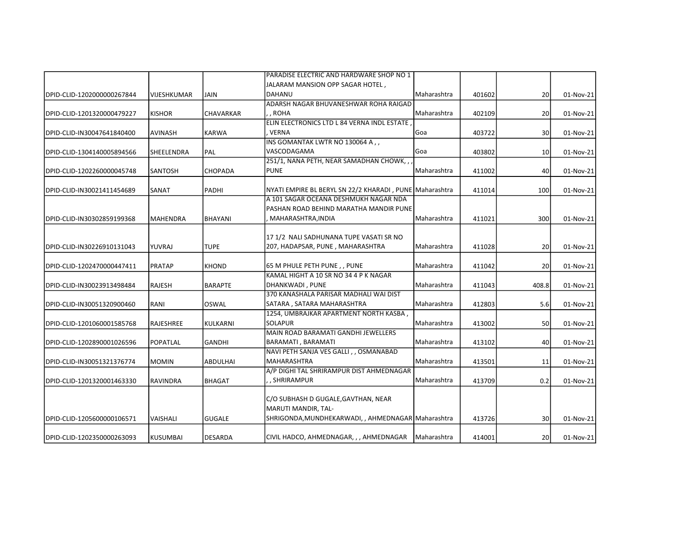|                            |                    |                 | PARADISE ELECTRIC AND HARDWARE SHOP NO 1                |             |        |                 |           |
|----------------------------|--------------------|-----------------|---------------------------------------------------------|-------------|--------|-----------------|-----------|
|                            |                    |                 | JALARAM MANSION OPP SAGAR HOTEL ,                       |             |        |                 |           |
| DPID-CLID-1202000000267844 | <b>VIJESHKUMAR</b> | <b>JAIN</b>     | <b>DAHANU</b>                                           | Maharashtra | 401602 | 20 <sup>1</sup> | 01-Nov-21 |
|                            |                    |                 | ADARSH NAGAR BHUVANESHWAR ROHA RAIGAD                   |             |        |                 |           |
| DPID-CLID-1201320000479227 | <b>KISHOR</b>      | CHAVARKAR       | , , ROHA                                                | Maharashtra | 402109 | 20              | 01-Nov-21 |
|                            |                    |                 | ELIN ELECTRONICS LTD L 84 VERNA INDL ESTATE,            |             |        |                 |           |
| DPID-CLID-IN30047641840400 | <b>AVINASH</b>     | <b>KARWA</b>    | . VERNA                                                 | Goa         | 403722 | 30 <sup>1</sup> | 01-Nov-21 |
|                            |                    |                 | INS GOMANTAK LWTR NO 130064 A,,                         |             |        |                 |           |
| DPID-CLID-1304140005894566 | <b>SHEELENDRA</b>  | <b>PAL</b>      | VASCODAGAMA                                             | Goa         | 403802 | 10 <sup>1</sup> | 01-Nov-21 |
|                            |                    |                 | 251/1, NANA PETH, NEAR SAMADHAN CHOWK,,                 |             |        |                 |           |
| DPID-CLID-1202260000045748 | <b>SANTOSH</b>     | <b>CHOPADA</b>  | <b>PUNE</b>                                             | Maharashtra | 411002 | 40              | 01-Nov-21 |
| DPID-CLID-IN30021411454689 | SANAT              | PADHI           | NYATI EMPIRE BL BERYL SN 22/2 KHARADI, PUNE Maharashtra |             | 411014 | 100             | 01-Nov-21 |
|                            |                    |                 | A 101 SAGAR OCEANA DESHMUKH NAGAR NDA                   |             |        |                 |           |
|                            |                    |                 | PASHAN ROAD BEHIND MARATHA MANDIR PUNE                  |             |        |                 |           |
| DPID-CLID-IN30302859199368 | <b>MAHENDRA</b>    | BHAYANI         | MAHARASHTRA, INDIA                                      | Maharashtra | 411021 | 300             | 01-Nov-21 |
|                            |                    |                 |                                                         |             |        |                 |           |
|                            |                    |                 | 17 1/2 NALI SADHUNANA TUPE VASATI SR NO                 |             |        |                 |           |
| DPID-CLID-IN30226910131043 | YUVRAJ             | <b>TUPE</b>     | 207, HADAPSAR, PUNE, MAHARASHTRA                        | Maharashtra | 411028 | 20              | 01-Nov-21 |
| DPID-CLID-1202470000447411 | <b>PRATAP</b>      | <b>KHOND</b>    | 65 M PHULE PETH PUNE,, PUNE                             | Maharashtra | 411042 | 20 <sup>1</sup> | 01-Nov-21 |
|                            |                    |                 | KAMAL HIGHT A 10 SR NO 34 4 P K NAGAR                   |             |        |                 |           |
| DPID-CLID-IN30023913498484 | <b>RAJESH</b>      | <b>BARAPTE</b>  | DHANKWADI, PUNE                                         | Maharashtra | 411043 | 408.8           | 01-Nov-21 |
|                            |                    |                 | 370 KANASHALA PARISAR MADHALI WAI DIST                  |             |        |                 |           |
| DPID-CLID-IN30051320900460 | RANI               | OSWAL           | SATARA, SATARA MAHARASHTRA                              | Maharashtra | 412803 | 5.6             | 01-Nov-21 |
|                            |                    |                 | 1254, UMBRAJKAR APARTMENT NORTH KASBA,                  |             |        |                 |           |
| DPID-CLID-1201060001585768 | <b>RAJESHREE</b>   | KULKARNI        | <b>SOLAPUR</b>                                          | Maharashtra | 413002 | 50              | 01-Nov-21 |
|                            |                    |                 | MAIN ROAD BARAMATI GANDHI JEWELLERS                     |             |        |                 |           |
| DPID-CLID-1202890001026596 | <b>POPATLAL</b>    | <b>GANDHI</b>   | <b>BARAMATI, BARAMATI</b>                               | Maharashtra | 413102 | 40              | 01-Nov-21 |
|                            |                    |                 | NAVI PETH SANJA VES GALLI,, OSMANABAD                   |             |        |                 |           |
| DPID-CLID-IN30051321376774 | <b>MOMIN</b>       | <b>ABDULHAI</b> | <b>MAHARASHTRA</b>                                      | Maharashtra | 413501 | 11              | 01-Nov-21 |
|                            |                    |                 | A/P DIGHI TAL SHRIRAMPUR DIST AHMEDNAGAR                |             |        |                 |           |
| DPID-CLID-1201320001463330 | <b>RAVINDRA</b>    | <b>BHAGAT</b>   | , , SHRIRAMPUR                                          | Maharashtra | 413709 | 0.2             | 01-Nov-21 |
|                            |                    |                 | C/O SUBHASH D GUGALE, GAVTHAN, NEAR                     |             |        |                 |           |
|                            |                    |                 |                                                         |             |        |                 |           |
|                            |                    |                 | MARUTI MANDIR, TAL-                                     |             |        |                 |           |
| DPID-CLID-1205600000106571 | VAISHALI           | <b>GUGALE</b>   | SHRIGONDA, MUNDHEKARWADI, , AHMEDNAGAR Maharashtra      |             | 413726 | 30              | 01-Nov-21 |
| DPID-CLID-1202350000263093 | <b>KUSUMBAI</b>    | DESARDA         | CIVIL HADCO, AHMEDNAGAR, , , AHMEDNAGAR                 | Maharashtra | 414001 | <b>20</b>       | 01-Nov-21 |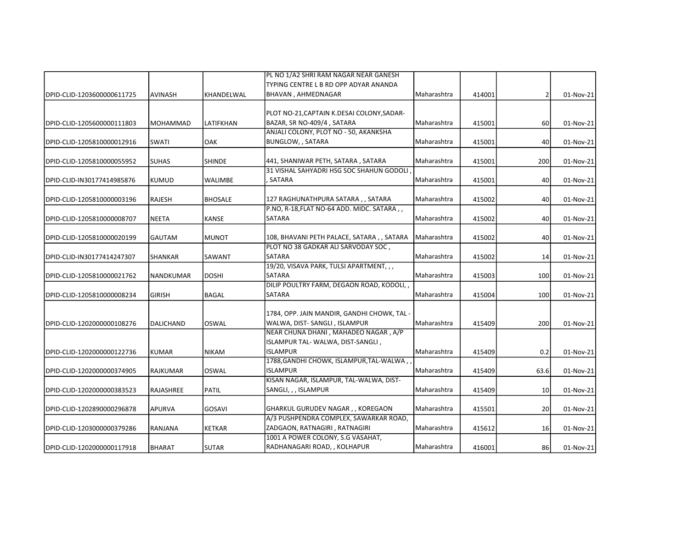|                            |                  |                | PL NO 1/A2 SHRI RAM NAGAR NEAR GANESH       |               |        |                 |           |
|----------------------------|------------------|----------------|---------------------------------------------|---------------|--------|-----------------|-----------|
|                            |                  |                | TYPING CENTRE L B RD OPP ADYAR ANANDA       |               |        |                 |           |
| DPID-CLID-1203600000611725 | <b>AVINASH</b>   | KHANDELWAL     | <b>BHAVAN, AHMEDNAGAR</b>                   | Maharashtra   | 414001 | 2               | 01-Nov-21 |
|                            |                  |                | PLOT NO-21, CAPTAIN K.DESAI COLONY, SADAR-  |               |        |                 |           |
| DPID-CLID-1205600000111803 | MOHAMMAD         | LATIFKHAN      | BAZAR, SR NO-409/4, SATARA                  | Maharashtra   | 415001 | 60              | 01-Nov-21 |
|                            |                  |                | ANJALI COLONY, PLOT NO - 50, AKANKSHA       |               |        |                 |           |
| DPID-CLID-1205810000012916 | SWATI            | OAK            | BUNGLOW, , SATARA                           | Maharashtra   | 415001 | 40              | 01-Nov-21 |
| DPID-CLID-1205810000055952 | <b>SUHAS</b>     | <b>SHINDE</b>  | 441, SHANIWAR PETH, SATARA, SATARA          | Maharashtra   | 415001 | 200             | 01-Nov-21 |
|                            |                  |                | 31 VISHAL SAHYADRI HSG SOC SHAHUN GODOLI    |               |        |                 |           |
| DPID-CLID-IN30177414985876 | <b>KUMUD</b>     | <b>WALIMBE</b> | . SATARA                                    | Maharashtra   | 415001 | 40              | 01-Nov-21 |
|                            |                  |                |                                             |               |        |                 |           |
| DPID-CLID-1205810000003196 | <b>RAJESH</b>    | <b>BHOSALE</b> | 127 RAGHUNATHPURA SATARA,, SATARA           | Maharashtra   | 415002 | 40              | 01-Nov-21 |
|                            |                  |                | P.NO, R-18, FLAT NO-64 ADD. MIDC. SATARA,,  |               |        |                 |           |
| DPID-CLID-1205810000008707 | <b>NEETA</b>     | <b>KANSE</b>   | SATARA                                      | Maharashtra   | 415002 | 40              | 01-Nov-21 |
| DPID-CLID-1205810000020199 | <b>GAUTAM</b>    | <b>MUNOT</b>   | 108, BHAVANI PETH PALACE, SATARA, , SATARA  | Maharashtra   | 415002 | 40              | 01-Nov-21 |
|                            |                  |                | PLOT NO 38 GADKAR ALI SARVODAY SOC,         |               |        |                 |           |
| DPID-CLID-IN30177414247307 | <b>SHANKAR</b>   | SAWANT         | <b>SATARA</b>                               | Maharashtra   | 415002 | 14              | 01-Nov-21 |
|                            |                  |                | 19/20, VISAVA PARK, TULSI APARTMENT, , ,    |               |        |                 |           |
| DPID-CLID-1205810000021762 | NANDKUMAR        | <b>DOSHI</b>   | SATARA                                      | Maharashtra   | 415003 | 100             | 01-Nov-21 |
|                            |                  |                | DILIP POULTRY FARM, DEGAON ROAD, KODOLI,,   |               |        |                 |           |
| DPID-CLID-1205810000008234 | <b>GIRISH</b>    | <b>BAGAL</b>   | SATARA                                      | Maharashtra   | 415004 | 100             | 01-Nov-21 |
|                            |                  |                | 1784, OPP. JAIN MANDIR, GANDHI CHOWK, TAL - |               |        |                 |           |
| DPID-CLID-1202000000108276 | <b>DALICHAND</b> | loswal         | WALWA, DIST- SANGLI, ISLAMPUR               | l Maharashtra | 415409 | 200             | 01-Nov-21 |
|                            |                  |                | NEAR CHUNA DHANI, MAHADEO NAGAR, A/P        |               |        |                 |           |
|                            |                  |                | ISLAMPUR TAL-WALWA, DIST-SANGLI,            |               |        |                 |           |
| DPID-CLID-1202000000122736 | <b>KUMAR</b>     | <b>NIKAM</b>   | <b>ISLAMPUR</b>                             | Maharashtra   | 415409 | 0.2             | 01-Nov-21 |
|                            |                  |                | 1788, GANDHI CHOWK, ISLAMPUR, TAL-WALWA,    |               |        |                 |           |
| DPID-CLID-1202000000374905 | <b>RAJKUMAR</b>  | <b>OSWAL</b>   | <b>ISLAMPUR</b>                             | Maharashtra   | 415409 | 63.6            | 01-Nov-21 |
|                            |                  |                | KISAN NAGAR, ISLAMPUR, TAL-WALWA, DIST-     |               |        |                 |           |
| DPID-CLID-1202000000383523 | <b>RAJASHREE</b> | <b>PATIL</b>   | SANGLI, , , ISLAMPUR                        | Maharashtra   | 415409 | 10 <sup>1</sup> | 01-Nov-21 |
| DPID-CLID-1202890000296878 | APURVA           | <b>GOSAVI</b>  | GHARKUL GURUDEV NAGAR, , KOREGAON           | Maharashtra   | 415501 | 20              | 01-Nov-21 |
|                            |                  |                | A/3 PUSHPENDRA COMPLEX, SAWARKAR ROAD,      |               |        |                 |           |
| DPID-CLID-1203000000379286 | RANJANA          | <b>KETKAR</b>  | ZADGAON, RATNAGIRI, RATNAGIRI               | Maharashtra   | 415612 | 16              | 01-Nov-21 |
|                            |                  |                | 1001 A POWER COLONY, S.G VASAHAT,           |               |        |                 |           |
| DPID-CLID-1202000000117918 | <b>BHARAT</b>    | <b>SUTAR</b>   | RADHANAGARI ROAD, , KOLHAPUR                | Maharashtra   | 416001 | 86              | 01-Nov-21 |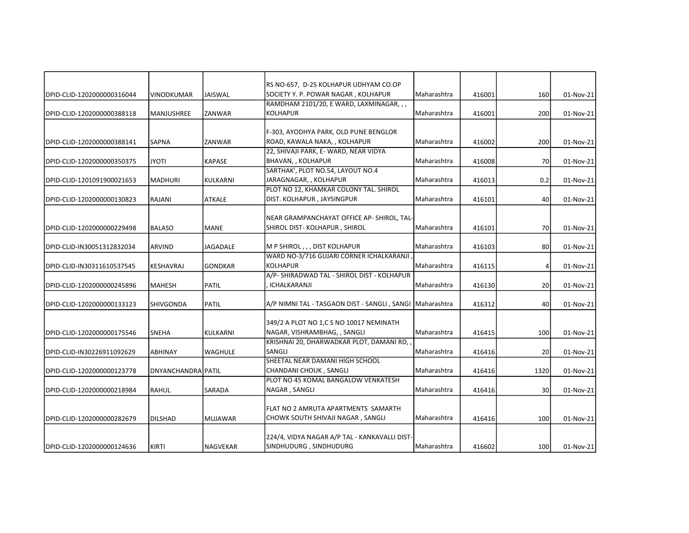|                            |                    |                 | RS NO-657, D-25 KOLHAPUR UDHYAM CO.OP                       |             |        |                 |           |
|----------------------------|--------------------|-----------------|-------------------------------------------------------------|-------------|--------|-----------------|-----------|
| DPID-CLID-1202000000316044 | <b>VINODKUMAR</b>  | <b>JAISWAL</b>  | SOCIETY Y. P. POWAR NAGAR, KOLHAPUR                         | Maharashtra | 416001 | 160             | 01-Nov-21 |
|                            |                    |                 | RAMDHAM 2101/20, E WARD, LAXMINAGAR, , ,                    |             |        |                 |           |
| DPID-CLID-1202000000388118 | <b>MANJUSHREE</b>  | ZANWAR          | <b>KOLHAPUR</b>                                             | Maharashtra | 416001 | 200             | 01-Nov-21 |
|                            |                    |                 |                                                             |             |        |                 |           |
|                            |                    |                 | F-303, AYODHYA PARK, OLD PUNE BENGLOR                       |             |        |                 |           |
| DPID-CLID-1202000000388141 | <b>SAPNA</b>       | ZANWAR          | ROAD, KAWALA NAKA, , KOLHAPUR                               | Maharashtra | 416002 | 200             | 01-Nov-21 |
|                            |                    |                 | 22, SHIVAJI PARK, E-WARD, NEAR VIDYA                        |             |        |                 |           |
| DPID-CLID-1202000000350375 | <b>ITOYL</b>       | <b>KAPASE</b>   | BHAVAN, , KOLHAPUR                                          | Maharashtra | 416008 | 70              | 01-Nov-21 |
|                            |                    |                 | SARTHAK', PLOT NO.54, LAYOUT NO.4                           |             |        |                 |           |
| DPID-CLID-1201091900021653 | <b>MADHURI</b>     | <b>KULKARNI</b> | JARAGNAGAR, , KOLHAPUR                                      | Maharashtra | 416013 | 0.2             | 01-Nov-21 |
|                            |                    |                 | PLOT NO 12, KHAMKAR COLONY TAL. SHIROL                      |             |        |                 |           |
| DPID-CLID-1202000000130823 | RAJANI             | <b>ATKALE</b>   | DIST. KOLHAPUR, JAYSINGPUR                                  | Maharashtra | 416101 | 40              | 01-Nov-21 |
|                            |                    |                 |                                                             |             |        |                 |           |
|                            |                    |                 | NEAR GRAMPANCHAYAT OFFICE AP- SHIROL, TAL-                  |             |        |                 |           |
| DPID-CLID-1202000000229498 | <b>BALASO</b>      | <b>MANE</b>     | SHIROL DIST-KOLHAPUR, SHIROL                                | Maharashtra | 416101 | 70              | 01-Nov-21 |
|                            |                    |                 |                                                             |             |        |                 |           |
| DPID-CLID-IN30051312832034 | <b>ARVIND</b>      | <b>JAGADALE</b> | M P SHIROL,,, DIST KOLHAPUR                                 | Maharashtra | 416103 | 80              | 01-Nov-21 |
|                            |                    |                 | WARD NO-3/716 GUJARI CORNER ICHALKARANJI                    |             |        |                 |           |
| DPID-CLID-IN30311610537545 | <b>KESHAVRAJ</b>   | <b>GONDKAR</b>  | <b>KOLHAPUR</b>                                             | Maharashtra | 416115 | 4               | 01-Nov-21 |
|                            |                    |                 | A/P- SHIRADWAD TAL - SHIROL DIST - KOLHAPUR                 |             |        |                 |           |
| DPID-CLID-1202000000245896 | <b>MAHESH</b>      | <b>PATIL</b>    | ICHALKARANJI                                                | Maharashtra | 416130 | 20              | 01-Nov-21 |
| DPID-CLID-1202000000133123 | SHIVGONDA          | PATIL           | A/P NIMNI TAL - TASGAON DIST - SANGLI , SANGI   Maharashtra |             | 416312 | 40              | 01-Nov-21 |
|                            |                    |                 |                                                             |             |        |                 |           |
|                            |                    |                 | 349/2 A PLOT NO 1,C S NO 10017 NEMINATH                     |             |        |                 |           |
| DPID-CLID-1202000000175546 | <b>SNEHA</b>       | KULKARNI        | NAGAR, VISHRAMBHAG, , SANGLI                                | Maharashtra | 416415 | 100             | 01-Nov-21 |
|                            |                    |                 | KRISHNAI 20, DHARWADKAR PLOT, DAMANI RD,                    |             |        |                 |           |
| DPID-CLID-IN30226911092629 | <b>ABHINAY</b>     | WAGHULE         | SANGLI                                                      | Maharashtra | 416416 | 20              | 01-Nov-21 |
|                            |                    |                 | SHEETAL NEAR DAMANI HIGH SCHOOL                             |             |        |                 |           |
| DPID-CLID-1202000000123778 | DNYANCHANDRAIPATIL |                 | CHANDANI CHOUK, SANGLI                                      | Maharashtra | 416416 | 1320            | 01-Nov-21 |
|                            |                    |                 | PLOT NO 45 KOMAL BANGALOW VENKATESH                         |             |        |                 |           |
| DPID-CLID-1202000000218984 | RAHUL              | SARADA          | NAGAR, SANGLI                                               | Maharashtra | 416416 | 30 <sup>1</sup> | 01-Nov-21 |
|                            |                    |                 |                                                             |             |        |                 |           |
|                            |                    |                 | FLAT NO 2 AMRUTA APARTMENTS SAMARTH                         |             |        |                 |           |
| DPID-CLID-1202000000282679 | <b>DILSHAD</b>     | <b>MUJAWAR</b>  | CHOWK SOUTH SHIVAJI NAGAR , SANGLI                          | Maharashtra | 416416 | 100             | 01-Nov-21 |
|                            |                    |                 |                                                             |             |        |                 |           |
|                            |                    |                 | 224/4, VIDYA NAGAR A/P TAL - KANKAVALLI DIST-               |             |        |                 |           |
| DPID-CLID-1202000000124636 | <b>KIRTI</b>       | NAGVEKAR        | SINDHUDURG, SINDHUDURG                                      | Maharashtra | 416602 | 100             | 01-Nov-21 |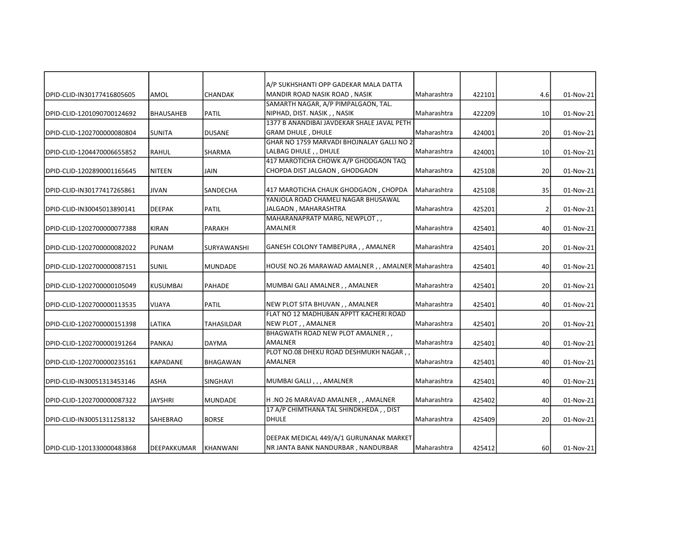|                            |                  |                   | A/P SUKHSHANTI OPP GADEKAR MALA DATTA              |             |        |                 |           |
|----------------------------|------------------|-------------------|----------------------------------------------------|-------------|--------|-----------------|-----------|
| DPID-CLID-IN30177416805605 | <b>AMOL</b>      | CHANDAK           | MANDIR ROAD NASIK ROAD, NASIK                      | Maharashtra | 422101 | 4.6             | 01-Nov-21 |
|                            |                  |                   | SAMARTH NAGAR, A/P PIMPALGAON, TAL.                |             |        |                 |           |
| DPID-CLID-1201090700124692 | <b>BHAUSAHEB</b> | <b>PATIL</b>      | NIPHAD, DIST. NASIK,, NASIK                        | Maharashtra | 422209 | 10 <sup>1</sup> | 01-Nov-21 |
|                            |                  |                   | 1377 B ANANDIBAI JAVDEKAR SHALE JAVAL PETH         |             |        |                 |           |
| DPID-CLID-1202700000080804 | <b>SUNITA</b>    | <b>DUSANE</b>     | <b>GRAM DHULE, DHULE</b>                           | Maharashtra | 424001 | 20              | 01-Nov-21 |
|                            |                  |                   | GHAR NO 1759 MARVADI BHOJNALAY GALLI NO 2          |             |        |                 |           |
| DPID-CLID-1204470006655852 | <b>RAHUL</b>     | SHARMA            | LALBAG DHULE, , DHULE                              | Maharashtra | 424001 | 10              | 01-Nov-21 |
|                            |                  |                   | 417 MAROTICHA CHOWK A/P GHODGAON TAQ               |             |        |                 |           |
| DPID-CLID-1202890001165645 | <b>NITEEN</b>    | JAIN              | CHOPDA DIST JALGAON, GHODGAON                      | Maharashtra | 425108 | 20              | 01-Nov-21 |
| DPID-CLID-IN30177417265861 | <b>JIVAN</b>     | SANDECHA          | 417 MAROTICHA CHAUK GHODGAON, CHOPDA               | Maharashtra | 425108 | 35              | 01-Nov-21 |
|                            |                  |                   | YANJOLA ROAD CHAMELI NAGAR BHUSAWAL                |             |        |                 |           |
| DPID-CLID-IN30045013890141 | <b>DEEPAK</b>    | <b>PATIL</b>      | JALGAON, MAHARASHTRA                               | Maharashtra | 425201 | 2               | 01-Nov-21 |
|                            |                  |                   | MAHARANAPRATP MARG, NEWPLOT,,                      |             |        |                 |           |
| DPID-CLID-1202700000077388 | <b>KIRAN</b>     | <b>PARAKH</b>     | <b>AMALNER</b>                                     | Maharashtra | 425401 | 40              | 01-Nov-21 |
|                            |                  |                   |                                                    |             |        |                 |           |
| DPID-CLID-1202700000082022 | <b>PUNAM</b>     | SURYAWANSHI       | GANESH COLONY TAMBEPURA, , AMALNER                 | Maharashtra | 425401 | 20 <sup>1</sup> | 01-Nov-21 |
| DPID-CLID-1202700000087151 | <b>SUNIL</b>     | <b>MUNDADE</b>    | HOUSE NO.26 MARAWAD AMALNER, , AMALNER Maharashtra |             | 425401 | 40              | 01-Nov-21 |
|                            |                  |                   |                                                    |             |        |                 |           |
| DPID-CLID-1202700000105049 | <b>KUSUMBAI</b>  | <b>PAHADE</b>     | MUMBAI GALI AMALNER,, AMALNER                      | Maharashtra | 425401 | 20              | 01-Nov-21 |
| DPID-CLID-1202700000113535 | <b>VIJAYA</b>    | <b>PATIL</b>      | NEW PLOT SITA BHUVAN, , AMALNER                    | Maharashtra | 425401 | 40              | 01-Nov-21 |
|                            |                  |                   | FLAT NO 12 MADHUBAN APPTT KACHERI ROAD             |             |        |                 |           |
| DPID-CLID-1202700000151398 | LATIKA           | <b>TAHASILDAR</b> | NEW PLOT,, AMALNER                                 | Maharashtra | 425401 | 20              | 01-Nov-21 |
|                            |                  |                   | BHAGWATH ROAD NEW PLOT AMALNER,                    |             |        |                 |           |
| DPID-CLID-1202700000191264 | PANKAJ           | <b>DAYMA</b>      | AMALNER                                            | Maharashtra | 425401 | 40              | 01-Nov-21 |
|                            |                  |                   | PLOT NO.08 DHEKU ROAD DESHMUKH NAGAR,              |             |        |                 |           |
| DPID-CLID-1202700000235161 | KAPADANE         | BHAGAWAN          | <b>AMALNER</b>                                     | Maharashtra | 425401 | 40              | 01-Nov-21 |
| DPID-CLID-IN30051313453146 | <b>ASHA</b>      | <b>SINGHAVI</b>   | MUMBAI GALLI,,, AMALNER                            | Maharashtra | 425401 | 40              | 01-Nov-21 |
|                            |                  |                   |                                                    |             |        |                 |           |
| DPID-CLID-1202700000087322 | <b>JAYSHRI</b>   | <b>MUNDADE</b>    | H .NO 26 MARAVAD AMALNER , , AMALNER               | Maharashtra | 425402 | 40              | 01-Nov-21 |
|                            |                  |                   | 17 A/P CHIMTHANA TAL SHINDKHEDA, , DIST            |             |        |                 |           |
| DPID-CLID-IN30051311258132 | SAHEBRAO         | <b>BORSE</b>      | <b>DHULE</b>                                       | Maharashtra | 425409 | 20 <sup>1</sup> | 01-Nov-21 |
|                            |                  |                   |                                                    |             |        |                 |           |
|                            |                  |                   | DEEPAK MEDICAL 449/A/1 GURUNANAK MARKET            |             |        |                 |           |
| DPID-CLID-1201330000483868 | DEEPAKKUMAR      | KHANWANI          | NR JANTA BANK NANDURBAR, NANDURBAR                 | Maharashtra | 425412 | 60              | 01-Nov-21 |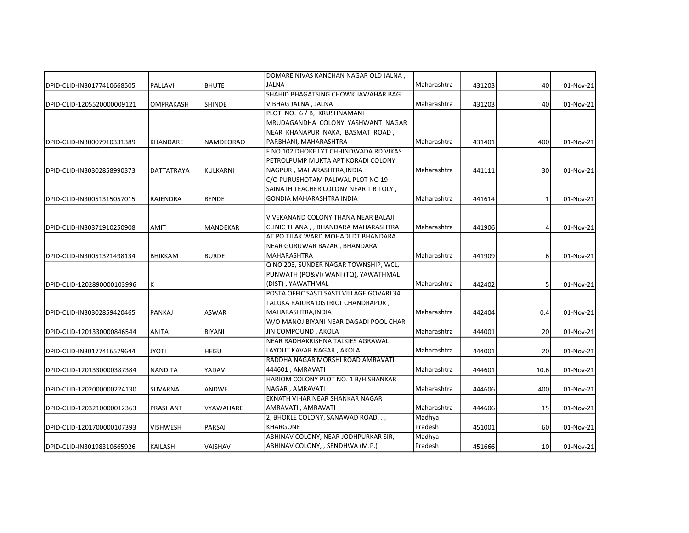|                             |                 |                  | DOMARE NIVAS KANCHAN NAGAR OLD JALNA,     |                    |        |                 |           |
|-----------------------------|-----------------|------------------|-------------------------------------------|--------------------|--------|-----------------|-----------|
| DPID-CLID-IN30177410668505  | <b>PALLAVI</b>  | <b>BHUTE</b>     | <b>JALNA</b>                              | Maharashtra        | 431203 | 40              | 01-Nov-21 |
|                             |                 |                  | SHAHID BHAGATSING CHOWK JAWAHAR BAG       |                    |        |                 |           |
| DPID-CLID-1205520000009121  | OMPRAKASH       | <b>SHINDE</b>    | VIBHAG JALNA, JALNA                       | Maharashtra        | 431203 | 40              | 01-Nov-21 |
|                             |                 |                  | PLOT NO. 6 / B, KRUSHNAMANI               |                    |        |                 |           |
|                             |                 |                  | MRUDAGANDHA COLONY YASHWANT NAGAR         |                    |        |                 |           |
|                             |                 |                  | NEAR KHANAPUR NAKA, BASMAT ROAD,          |                    |        |                 |           |
| DPID-CLID-IN30007910331389  | <b>KHANDARE</b> | <b>NAMDEORAO</b> | PARBHANI, MAHARASHTRA                     | Maharashtra        | 431401 | 400             | 01-Nov-21 |
|                             |                 |                  | F NO 102 DHOKE LYT CHHINDWADA RD VIKAS    |                    |        |                 |           |
|                             |                 |                  | PETROLPUMP MUKTA APT KORADI COLONY        |                    |        |                 |           |
| DPID-CLID-IN30302858990373  | DATTATRAYA      | KULKARNI         | NAGPUR, MAHARASHTRA, INDIA                | Maharashtra        | 441111 | 30 <sup>1</sup> | 01-Nov-21 |
|                             |                 |                  | C/O PURUSHOTAM PALIWAL PLOT NO 19         |                    |        |                 |           |
|                             |                 |                  | SAINATH TEACHER COLONY NEAR T B TOLY,     |                    |        |                 |           |
| IDPID-CLID-IN30051315057015 | RAJENDRA        | <b>BENDE</b>     | GONDIA MAHARASHTRA INDIA                  | l Maharashtra      | 441614 | 1               | 01-Nov-21 |
|                             |                 |                  |                                           |                    |        |                 |           |
|                             |                 |                  | VIVEKANAND COLONY THANA NEAR BALAJI       |                    |        |                 |           |
| IDPID-CLID-IN30371910250908 | <b>AMIT</b>     | MANDEKAR         | CLINIC THANA,, BHANDARA MAHARASHTRA       | l Maharashtra      | 441906 | Δ               | 01-Nov-21 |
|                             |                 |                  | AT PO TILAK WARD MOHADI DT BHANDARA       |                    |        |                 |           |
|                             |                 |                  | NEAR GURUWAR BAZAR, BHANDARA              |                    |        |                 |           |
| DPID-CLID-IN30051321498134  | <b>BHIKKAM</b>  | <b>BURDE</b>     | <b>MAHARASHTRA</b>                        | Maharashtra        | 441909 | 61              | 01-Nov-21 |
|                             |                 |                  | Q NO 203, SUNDER NAGAR TOWNSHIP, WCL,     |                    |        |                 |           |
|                             |                 |                  | PUNWATH (PO&VI) WANI (TQ), YAWATHMAL      |                    |        |                 |           |
| DPID-CLID-1202890000103996  | К               |                  | (DIST), YAWATHMAL                         | <b>Maharashtra</b> | 442402 | 51              | 01-Nov-21 |
|                             |                 |                  | POSTA OFFIC SASTI SASTI VILLAGE GOVARI 34 |                    |        |                 |           |
|                             |                 |                  | TALUKA RAJURA DISTRICT CHANDRAPUR,        |                    |        |                 |           |
| DPID-CLID-IN30302859420465  | PANKAJ          | <b>ASWAR</b>     | MAHARASHTRA, INDIA                        | <b>Maharashtra</b> | 442404 | 0.4             | 01-Nov-21 |
|                             |                 |                  | W/O MANOJ BIYANI NEAR DAGADI POOL CHAR    |                    |        |                 |           |
| DPID-CLID-1201330000846544  | ANITA           | <b>BIYANI</b>    | JIN COMPOUND , AKOLA                      | Maharashtra        | 444001 | 20              | 01-Nov-21 |
|                             |                 |                  | NEAR RADHAKRISHNA TALKIES AGRAWAL         |                    |        |                 |           |
| DPID-CLID-IN30177416579644  | <b>JYOTI</b>    | <b>HEGU</b>      | LAYOUT KAVAR NAGAR, AKOLA                 | Maharashtra        | 444001 | 20 <sup>1</sup> | 01-Nov-21 |
|                             |                 |                  | RADDHA NAGAR MORSHI ROAD AMRAVATI         |                    |        |                 |           |
| DPID-CLID-1201330000387384  | <b>NANDITA</b>  | YADAV            | 444601, AMRAVATI                          | <b>Maharashtra</b> | 444601 | 10.6            | 01-Nov-21 |
|                             |                 |                  | HARIOM COLONY PLOT NO. 1 B/H SHANKAR      |                    |        |                 |           |
| DPID-CLID-1202000000224130  | SUVARNA         | ANDWE            | NAGAR, AMRAVATI                           | Maharashtra        | 444606 | 400             | 01-Nov-21 |
|                             |                 |                  | EKNATH VIHAR NEAR SHANKAR NAGAR           |                    |        |                 |           |
| DPID-CLID-1203210000012363  | PRASHANT        | <b>VYAWAHARE</b> | AMRAVATI, AMRAVATI                        | Maharashtra        | 444606 | 15              | 01-Nov-21 |
|                             |                 |                  | 2, BHOKLE COLONY, SANAWAD ROAD, .,        | Madhya             |        |                 |           |
| DPID-CLID-1201700000107393  | <b>VISHWESH</b> | PARSAI           | <b>KHARGONE</b>                           | Pradesh            | 451001 | 60              | 01-Nov-21 |
|                             |                 |                  | ABHINAV COLONY, NEAR JODHPURKAR SIR,      | Madhya             |        |                 |           |
| DPID-CLID-IN30198310665926  | KAILASH         | VAISHAV          | ABHINAV COLONY, , SENDHWA (M.P.)          | Pradesh            | 451666 | 10 <sup>1</sup> | 01-Nov-21 |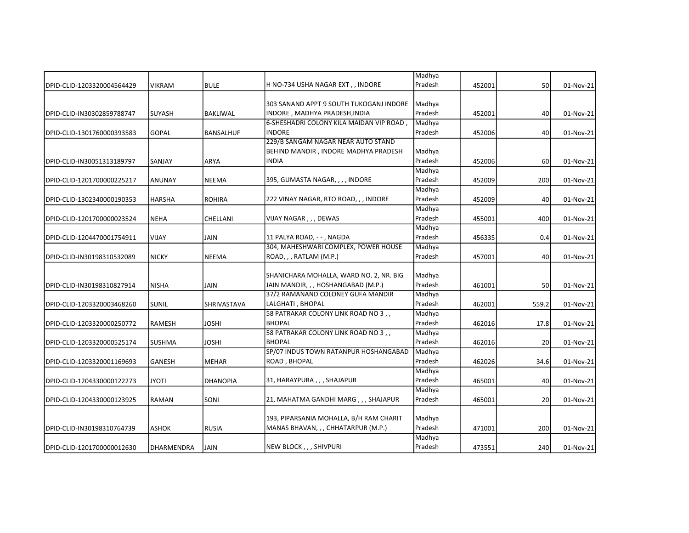|                            |               |                    |                                         | Madhya            |        |       |           |
|----------------------------|---------------|--------------------|-----------------------------------------|-------------------|--------|-------|-----------|
| DPID-CLID-1203320004564429 | <b>VIKRAM</b> | BULE               | H NO-734 USHA NAGAR EXT , , INDORE      | Pradesh           | 452001 | 50    | 01-Nov-21 |
|                            |               |                    | 303 SANAND APPT 9 SOUTH TUKOGANJ INDORE | Madhya            |        |       |           |
| DPID-CLID-IN30302859788747 | <b>SUYASH</b> | <b>BAKLIWAL</b>    | INDORE , MADHYA PRADESH,INDIA           | Pradesh           | 452001 | 40    | 01-Nov-21 |
|                            |               |                    | 6-SHESHADRI COLONY KILA MAIDAN VIP ROAD | Madhya            |        |       |           |
| DPID-CLID-1301760000393583 | <b>GOPAL</b>  | <b>BANSALHUF</b>   | <b>INDORE</b>                           | Pradesh           | 452006 | 40    | 01-Nov-21 |
|                            |               |                    | 229/B SANGAM NAGAR NEAR AUTO STAND      |                   |        |       |           |
|                            |               |                    | BEHIND MANDIR, INDORE MADHYA PRADESH    | Madhya            |        |       |           |
| DPID-CLID-IN30051313189797 | SANJAY        | <b>ARYA</b>        | <b>INDIA</b>                            | Pradesh           | 452006 | 60    | 01-Nov-21 |
|                            |               |                    |                                         | Madhya            |        |       |           |
| DPID-CLID-1201700000225217 | <b>ANUNAY</b> | NEEMA              | 395, GUMASTA NAGAR, , , , INDORE        | Pradesh           | 452009 | 200   | 01-Nov-21 |
|                            |               |                    |                                         | Madhya            |        |       |           |
| DPID-CLID-1302340000190353 | HARSHA        | <b>ROHIRA</b>      | 222 VINAY NAGAR, RTO ROAD, , , INDORE   | Pradesh           | 452009 | 40    | 01-Nov-21 |
|                            |               |                    |                                         | Madhya            |        |       |           |
| DPID-CLID-1201700000023524 | <b>NEHA</b>   | CHELLANI           | VIJAY NAGAR,,, DEWAS                    | Pradesh           | 455001 | 400   | 01-Nov-21 |
|                            |               |                    |                                         | Madhya            |        |       |           |
|                            | VIJAY         |                    | 11 PALYA ROAD, - - , NAGDA              | Pradesh           |        |       |           |
| DPID-CLID-1204470001754911 |               | JAIN               | 304, MAHESHWARI COMPLEX, POWER HOUSE    |                   | 456335 | 0.4   | 01-Nov-21 |
|                            |               |                    | ROAD, , , RATLAM (M.P.)                 | Madhya<br>Pradesh |        |       |           |
| DPID-CLID-IN30198310532089 | <b>NICKY</b>  | <b>NEEMA</b>       |                                         |                   | 457001 | 40    | 01-Nov-21 |
|                            |               |                    |                                         |                   |        |       |           |
|                            |               |                    | SHANICHARA MOHALLA, WARD NO. 2, NR. BIG | Madhya            |        |       |           |
| DPID-CLID-IN30198310827914 | <b>NISHA</b>  | JAIN               | JAIN MANDIR, , , HOSHANGABAD (M.P.)     | Pradesh           | 461001 | 50    | 01-Nov-21 |
|                            |               |                    | 37/2 RAMANAND COLONEY GUFA MANDIR       | Madhya            |        |       |           |
| DPID-CLID-1203320003468260 | <b>SUNIL</b>  | <b>SHRIVASTAVA</b> | LALGHATI, BHOPAL                        | Pradesh           | 462001 | 559.2 | 01-Nov-21 |
|                            |               |                    | 58 PATRAKAR COLONY LINK ROAD NO 3,,     | Madhya            |        |       |           |
| DPID-CLID-1203320000250772 | <b>RAMESH</b> | <b>JOSHI</b>       | <b>BHOPAL</b>                           | Pradesh           | 462016 | 17.8  | 01-Nov-21 |
|                            |               |                    | 58 PATRAKAR COLONY LINK ROAD NO 3,,     | Madhya            |        |       |           |
| DPID-CLID-1203320000525174 | <b>SUSHMA</b> | JOSHI              | <b>BHOPAL</b>                           | Pradesh           | 462016 | 20    | 01-Nov-21 |
|                            |               |                    | SP/07 INDUS TOWN RATANPUR HOSHANGABAD   | Madhya            |        |       |           |
| DPID-CLID-1203320001169693 | <b>GANESH</b> | <b>MEHAR</b>       | ROAD, BHOPAL                            | Pradesh           | 462026 | 34.6  | 01-Nov-21 |
|                            |               |                    |                                         | Madhya            |        |       |           |
| DPID-CLID-1204330000122273 | <b>JYOTI</b>  | <b>DHANOPIA</b>    | 31, HARAYPURA , , , SHAJAPUR            | Pradesh           | 465001 | 40    | 01-Nov-21 |
|                            |               |                    |                                         | Madhya            |        |       |           |
| DPID-CLID-1204330000123925 | <b>RAMAN</b>  | SONI               | 21, MAHATMA GANDHI MARG, , , SHAJAPUR   | Pradesh           | 465001 | 20    | 01-Nov-21 |
|                            |               |                    |                                         |                   |        |       |           |
|                            |               |                    | 193, PIPARSANIA MOHALLA, B/H RAM CHARIT | Madhya            |        |       |           |
| DPID-CLID-IN30198310764739 | <b>ASHOK</b>  | <b>RUSIA</b>       | MANAS BHAVAN, , , CHHATARPUR (M.P.)     | Pradesh           | 471001 | 200   | 01-Nov-21 |
|                            |               |                    |                                         | Madhya            |        |       |           |
| DPID-CLID-1201700000012630 | DHARMENDRA    | JAIN               | NEW BLOCK,,, SHIVPURI                   | Pradesh           | 473551 | 240   | 01-Nov-21 |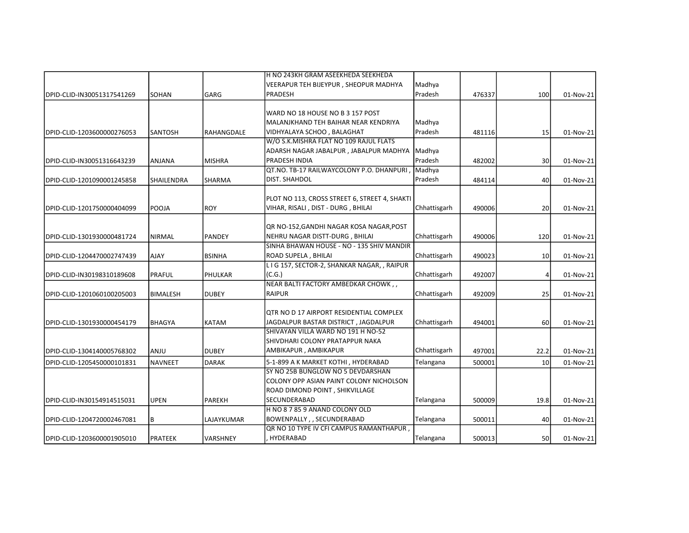|                            |                   |                 | H NO 243KH GRAM ASEEKHEDA SEEKHEDA               |              |        |                 |           |
|----------------------------|-------------------|-----------------|--------------------------------------------------|--------------|--------|-----------------|-----------|
|                            |                   |                 | VEERAPUR TEH BIJEYPUR , SHEOPUR MADHYA           | Madhya       |        |                 |           |
| DPID-CLID-IN30051317541269 | SOHAN             | GARG            | PRADESH                                          | Pradesh      | 476337 | 100             | 01-Nov-21 |
|                            |                   |                 |                                                  |              |        |                 |           |
|                            |                   |                 | WARD NO 18 HOUSE NO B 3 157 POST                 |              |        |                 |           |
|                            |                   |                 | MALANJKHAND TEH BAIHAR NEAR KENDRIYA             | Madhya       |        |                 |           |
| DPID-CLID-1203600000276053 | <b>SANTOSH</b>    | RAHANGDALE      | VIDHYALAYA SCHOO, BALAGHAT                       | Pradesh      | 481116 | 15              | 01-Nov-21 |
|                            |                   |                 | W/O S.K.MISHRA FLAT NO 109 RAJUL FLATS           |              |        |                 |           |
|                            |                   |                 | ADARSH NAGAR JABALPUR, JABALPUR MADHYA Madhya    |              |        |                 |           |
| DPID-CLID-IN30051316643239 | ANJANA            | <b>MISHRA</b>   | PRADESH INDIA                                    | Pradesh      | 482002 | 30 <sup>1</sup> | 01-Nov-21 |
|                            |                   |                 | QT.NO. TB-17 RAILWAYCOLONY P.O. DHANPURI, Madhya |              |        |                 |           |
| DPID-CLID-1201090001245858 | <b>SHAILENDRA</b> | <b>SHARMA</b>   | DIST. SHAHDOL                                    | Pradesh      | 484114 | 40              | 01-Nov-21 |
|                            |                   |                 | PLOT NO 113, CROSS STREET 6, STREET 4, SHAKTI    |              |        |                 |           |
| DPID-CLID-1201750000404099 | <b>POOJA</b>      | <b>ROY</b>      | VIHAR, RISALI, DIST - DURG, BHILAI               | Chhattisgarh | 490006 | 20 <sub>2</sub> | 01-Nov-21 |
|                            |                   |                 |                                                  |              |        |                 |           |
|                            |                   |                 | QR NO-152, GANDHI NAGAR KOSA NAGAR, POST         |              |        |                 |           |
| DPID-CLID-1301930000481724 | <b>NIRMAL</b>     | <b>PANDEY</b>   | NEHRU NAGAR DISTT-DURG, BHILAI                   | Chhattisgarh | 490006 | 120             | 01-Nov-21 |
|                            |                   |                 | SINHA BHAWAN HOUSE - NO - 135 SHIV MANDIR        |              |        |                 |           |
| DPID-CLID-1204470002747439 | <b>AJAY</b>       | <b>BSINHA</b>   | ROAD SUPELA, BHILAI                              | Chhattisgarh | 490023 | 10 <sup>1</sup> | 01-Nov-21 |
|                            |                   |                 | LIG 157, SECTOR-2, SHANKAR NAGAR,, RAIPUR        |              |        |                 |           |
| DPID-CLID-IN30198310189608 | PRAFUL            | PHULKAR         | (C.G.)                                           | Chhattisgarh | 492007 | $\vert 4 \vert$ | 01-Nov-21 |
|                            |                   |                 | NEAR BALTI FACTORY AMBEDKAR CHOWK,,              |              |        |                 |           |
| DPID-CLID-1201060100205003 | <b>BIMALESH</b>   | <b>DUBEY</b>    | <b>RAIPUR</b>                                    | Chhattisgarh | 492009 | 25              | 01-Nov-21 |
|                            |                   |                 |                                                  |              |        |                 |           |
|                            |                   |                 | OTR NO D 17 AIRPORT RESIDENTIAL COMPLEX          |              |        |                 |           |
| DPID-CLID-1301930000454179 | <b>BHAGYA</b>     | KATAM           | JAGDALPUR BASTAR DISTRICT, JAGDALPUR             | Chhattisgarh | 494001 | 60              | 01-Nov-21 |
|                            |                   |                 | SHIVAYAN VILLA WARD NO 191 H NO-52               |              |        |                 |           |
|                            |                   |                 | SHIVDHARI COLONY PRATAPPUR NAKA                  |              |        |                 |           |
| DPID-CLID-1304140005768302 | UlMA              | <b>DUBEY</b>    | AMBIKAPUR, AMBIKAPUR                             | Chhattisgarh | 497001 | 22.2            | 01-Nov-21 |
| DPID-CLID-1205450000101831 | <b>NAVNEET</b>    | <b>DARAK</b>    | 5-1-899 A K MARKET KOTHI, HYDERABAD              | Telangana    | 500001 | 10 <sup>1</sup> | 01-Nov-21 |
|                            |                   |                 | SY NO 25B BUNGLOW NO 5 DEVDARSHAN                |              |        |                 |           |
|                            |                   |                 | COLONY OPP ASIAN PAINT COLONY NICHOLSON          |              |        |                 |           |
|                            |                   |                 | ROAD DIMOND POINT, SHIKVILLAGE                   |              |        |                 |           |
| DPID-CLID-IN30154914515031 | UPEN              | <b>PAREKH</b>   | SECUNDERABAD                                     | Telangana    | 500009 | 19.8            | 01-Nov-21 |
|                            |                   |                 | H NO 8 7 85 9 ANAND COLONY OLD                   |              |        |                 |           |
| DPID-CLID-1204720002467081 | B                 | LAJAYKUMAR      | <b>BOWENPALLY, , SECUNDERABAD</b>                | Telangana    | 500011 | 40              | 01-Nov-21 |
|                            |                   |                 | QR NO 10 TYPE IV CFI CAMPUS RAMANTHAPUR,         |              |        |                 |           |
| DPID-CLID-1203600001905010 | <b>PRATEEK</b>    | <b>VARSHNEY</b> | HYDERABAD                                        | Telangana    | 500013 | 50              | 01-Nov-21 |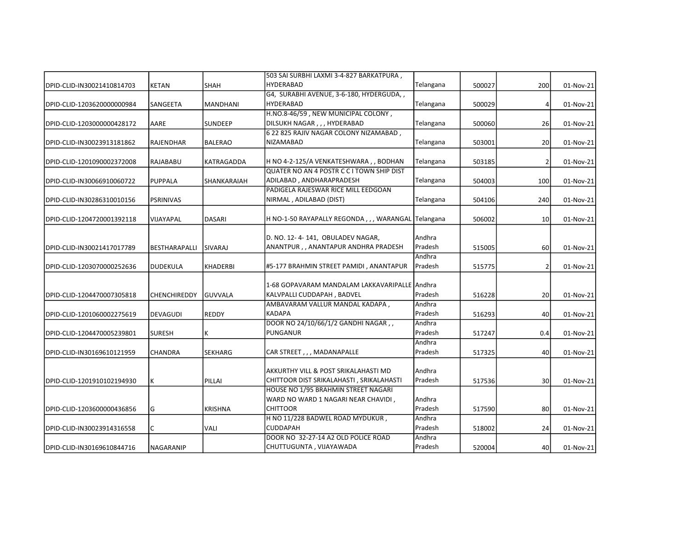|                            |                      |                    | 503 SAI SURBHI LAXMI 3-4-827 BARKATPURA,          |                   |        |                 |           |
|----------------------------|----------------------|--------------------|---------------------------------------------------|-------------------|--------|-----------------|-----------|
| DPID-CLID-IN30021410814703 | <b>KETAN</b>         | SHAH               | <b>HYDERABAD</b>                                  | Telangana         | 500027 | 200             | 01-Nov-21 |
|                            |                      |                    | G4, SURABHI AVENUE, 3-6-180, HYDERGUDA,,          |                   |        |                 |           |
| DPID-CLID-1203620000000984 | SANGEETA             | <b>MANDHANI</b>    | <b>HYDERABAD</b>                                  | Telangana         | 500029 | 4               | 01-Nov-21 |
|                            |                      |                    | H.NO.8-46/59, NEW MUNICIPAL COLONY,               |                   |        |                 |           |
| DPID-CLID-1203000000428172 | AARE                 | <b>SUNDEEP</b>     | DILSUKH NAGAR, , , HYDERABAD                      | Telangana         | 500060 | 26              | 01-Nov-21 |
|                            |                      |                    | 6 22 825 RAJIV NAGAR COLONY NIZAMABAD,            |                   |        |                 |           |
| DPID-CLID-IN30023913181862 | RAJENDHAR            | <b>BALERAO</b>     | <b>NIZAMABAD</b>                                  | Telangana         | 503001 | 20              | 01-Nov-21 |
| DPID-CLID-1201090002372008 | RAJABABU             | KATRAGADDA         | H NO 4-2-125/A VENKATESHWARA, , BODHAN            | Telangana         | 503185 | 2               | 01-Nov-21 |
|                            |                      |                    | QUATER NO AN 4 POSTR C C I TOWN SHIP DIST         |                   |        |                 |           |
| DPID-CLID-IN30066910060722 | <b>PUPPALA</b>       | <b>SHANKARAIAH</b> | ADILABAD, ANDHARAPRADESH                          | Telangana         | 504003 | 100             | 01-Nov-21 |
|                            |                      |                    | PADIGELA RAJESWAR RICE MILL EEDGOAN               |                   |        |                 |           |
| DPID-CLID-IN30286310010156 | <b>PSRINIVAS</b>     |                    | NIRMAL, ADILABAD (DIST)                           | Telangana         | 504106 | 240             | 01-Nov-21 |
| DPID-CLID-1204720001392118 | VIJAYAPAL            | <b>DASARI</b>      | H NO-1-50 RAYAPALLY REGONDA,,, WARANGAL Telangana |                   | 506002 | 10              | 01-Nov-21 |
|                            |                      |                    |                                                   |                   |        |                 |           |
|                            |                      |                    | D. NO. 12- 4- 141,  OBULADEV NAGAR,               | Andhra            |        |                 |           |
| DPID-CLID-IN30021417017789 | <b>BESTHARAPALLI</b> | SIVARAJ            | ANANTPUR,, ANANTAPUR ANDHRA PRADESH               | Pradesh           | 515005 | 60              | 01-Nov-21 |
| DPID-CLID-1203070000252636 | <b>DUDEKULA</b>      | <b>KHADERBI</b>    | #5-177 BRAHMIN STREET PAMIDI, ANANTAPUR           | Andhra<br>Pradesh | 515775 | 2               | 01-Nov-21 |
|                            |                      |                    |                                                   |                   |        |                 |           |
|                            |                      |                    | 1-68 GOPAVARAM MANDALAM LAKKAVARIPALLE Andhra     |                   |        |                 |           |
| DPID-CLID-1204470007305818 | <b>CHENCHIREDDY</b>  | lGUVVALA           | KALVPALLI CUDDAPAH, BADVEL                        | Pradesh           | 516228 | 20              | 01-Nov-21 |
|                            |                      |                    | AMBAVARAM VALLUR MANDAL KADAPA,                   | Andhra            |        |                 |           |
| DPID-CLID-1201060002275619 | <b>DEVAGUDI</b>      | <b>REDDY</b>       | <b>KADAPA</b>                                     | Pradesh           | 516293 | 40              | 01-Nov-21 |
|                            |                      |                    | DOOR NO 24/10/66/1/2 GANDHI NAGAR,,               | Andhra            |        |                 |           |
| DPID-CLID-1204470005239801 | <b>SURESH</b>        | Κ                  | <b>PUNGANUR</b>                                   | Pradesh           | 517247 | 0.4             | 01-Nov-21 |
|                            |                      |                    |                                                   | Andhra            |        |                 |           |
| DPID-CLID-IN30169610121959 | <b>CHANDRA</b>       | <b>SEKHARG</b>     | CAR STREET,,, MADANAPALLE                         | Pradesh           | 517325 | 40              | 01-Nov-21 |
|                            |                      |                    | AKKURTHY VILL & POST SRIKALAHASTI MD              | Andhra            |        |                 |           |
| DPID-CLID-1201910102194930 | K                    | PILLAI             | CHITTOOR DIST SRIKALAHASTI, SRIKALAHASTI          | Pradesh           | 517536 | 30 <sup>1</sup> | 01-Nov-21 |
|                            |                      |                    | HOUSE NO 1/95 BRAHMIN STREET NAGARI               |                   |        |                 |           |
|                            |                      |                    | WARD NO WARD 1 NAGARI NEAR CHAVIDI,               | Andhra            |        |                 |           |
| DPID-CLID-1203600000436856 | G                    | <b>KRISHNA</b>     | <b>CHITTOOR</b>                                   | Pradesh           | 517590 | 80              | 01-Nov-21 |
|                            |                      |                    | H NO 11/228 BADWEL ROAD MYDUKUR,                  | Andhra            |        |                 |           |
| DPID-CLID-IN30023914316558 | C                    | <b>VALI</b>        | <b>CUDDAPAH</b>                                   | Pradesh           | 518002 | 24              | 01-Nov-21 |
|                            |                      |                    | DOOR NO 32-27-14 A2 OLD POLICE ROAD               | Andhra            |        |                 |           |
| DPID-CLID-IN30169610844716 | <b>NAGARANIP</b>     |                    | CHUTTUGUNTA, VIJAYAWADA                           | Pradesh           | 520004 | 40              | 01-Nov-21 |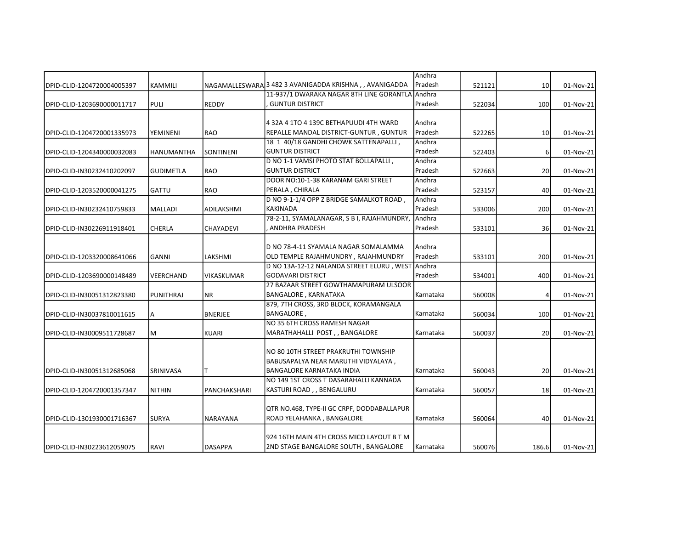|                            |                   |                   |                                                          | Andhra           |        |                 |           |
|----------------------------|-------------------|-------------------|----------------------------------------------------------|------------------|--------|-----------------|-----------|
| DPID-CLID-1204720004005397 | KAMMILI           |                   | NAGAMALLESWARA 3 482 3 AVANIGADDA KRISHNA , , AVANIGADDA | Pradesh          | 521121 | 10 <sup>1</sup> | 01-Nov-21 |
|                            |                   |                   | 11-937/1 DWARAKA NAGAR 8TH LINE GORANTLA                 | Andhra           |        |                 |           |
| DPID-CLID-1203690000011717 | <b>PULI</b>       | <b>REDDY</b>      | <b>GUNTUR DISTRICT</b>                                   | Pradesh          | 522034 | 100             | 01-Nov-21 |
|                            |                   |                   |                                                          |                  |        |                 |           |
|                            |                   |                   | 4 32A 4 1TO 4 139C BETHAPUUDI 4TH WARD                   | Andhra           |        |                 |           |
| DPID-CLID-1204720001335973 | YEMINENI          | RAO               | REPALLE MANDAL DISTRICT-GUNTUR, GUNTUR                   | Pradesh          | 522265 | 10              | 01-Nov-21 |
|                            |                   |                   | 18 1 40/18 GANDHI CHOWK SATTENAPALLI,                    | Andhra           |        |                 |           |
| DPID-CLID-1204340000032083 | <b>HANUMANTHA</b> | <b>SONTINENI</b>  | <b>GUNTUR DISTRICT</b>                                   | Pradesh          | 522403 | 6 <sup>1</sup>  | 01-Nov-21 |
|                            |                   |                   | D NO 1-1 VAMSI PHOTO STAT BOLLAPALLI,                    | Andhra           |        |                 |           |
| DPID-CLID-IN30232410202097 | <b>GUDIMETLA</b>  | <b>RAO</b>        | <b>GUNTUR DISTRICT</b>                                   | Pradesh          | 522663 | 20 <sup>1</sup> | 01-Nov-21 |
|                            |                   |                   | DOOR NO:10-1-38 KARANAM GARI STREET                      | Andhra           |        |                 |           |
| DPID-CLID-1203520000041275 | <b>GATTU</b>      | <b>RAO</b>        | PERALA, CHIRALA                                          | Pradesh          | 523157 | 40              | 01-Nov-21 |
|                            |                   |                   | D NO 9-1-1/4 OPP Z BRIDGE SAMALKOT ROAD                  | Andhra           |        |                 |           |
| DPID-CLID-IN30232410759833 | <b>MALLADI</b>    | ADILAKSHMI        | <b>KAKINADA</b>                                          | Pradesh          | 533006 | 200             | 01-Nov-21 |
|                            |                   |                   | 78-2-11, SYAMALANAGAR, S B I, RAJAHMUNDRY,               | Andhra           |        |                 |           |
| DPID-CLID-IN30226911918401 | <b>CHERLA</b>     | <b>CHAYADEVI</b>  | ANDHRA PRADESH                                           | Pradesh          | 533101 | 36              | 01-Nov-21 |
|                            |                   |                   |                                                          |                  |        |                 |           |
|                            |                   |                   | D NO 78-4-11 SYAMALA NAGAR SOMALAMMA                     | Andhra           |        |                 |           |
| DPID-CLID-1203320008641066 | <b>GANNI</b>      | LAKSHMI           | OLD TEMPLE RAJAHMUNDRY, RAJAHMUNDRY                      | Pradesh          | 533101 | 200             | 01-Nov-21 |
|                            |                   |                   | D NO 13A-12-12 NALANDA STREET ELURU, WEST Andhra         |                  |        |                 |           |
| DPID-CLID-1203690000148489 | VEERCHAND         | <b>VIKASKUMAR</b> | <b>GODAVARI DISTRICT</b>                                 | Pradesh          | 534001 | 400             | 01-Nov-21 |
|                            |                   |                   | 27 BAZAAR STREET GOWTHAMAPURAM ULSOOR                    |                  |        |                 |           |
| DPID-CLID-IN30051312823380 | <b>PUNITHRAJ</b>  | <b>NR</b>         | <b>BANGALORE, KARNATAKA</b>                              | Karnataka        | 560008 | 4               | 01-Nov-21 |
|                            |                   |                   | 879, 7TH CROSS, 3RD BLOCK, KORAMANGALA                   |                  |        |                 |           |
| DPID-CLID-IN30037810011615 | Α                 | <b>BNERJEE</b>    | BANGALORE,                                               | Karnataka        | 560034 | 100             | 01-Nov-21 |
|                            |                   |                   | NO 35 6TH CROSS RAMESH NAGAR                             |                  |        |                 |           |
| DPID-CLID-IN30009511728687 | M                 | <b>KUARI</b>      | MARATHAHALLI POST,, BANGALORE                            | <b>Karnataka</b> | 560037 | 20              | 01-Nov-21 |
|                            |                   |                   |                                                          |                  |        |                 |           |
|                            |                   |                   | NO 80 10TH STREET PRAKRUTHI TOWNSHIP                     |                  |        |                 |           |
|                            |                   |                   | BABUSAPALYA NEAR MARUTHI VIDYALAYA,                      |                  |        |                 |           |
| DPID-CLID-IN30051312685068 | SRINIVASA         |                   | <b>BANGALORE KARNATAKA INDIA</b>                         | Karnataka        | 560043 | 20              | 01-Nov-21 |
|                            |                   |                   | NO 149 1ST CROSS T DASARAHALLI KANNADA                   |                  |        |                 |           |
|                            |                   |                   |                                                          |                  |        |                 |           |
| DPID-CLID-1204720001357347 | <b>NITHIN</b>     | PANCHAKSHARI      | KASTURI ROAD, , BENGALURU                                | Karnataka        | 560057 | 18              | 01-Nov-21 |
|                            |                   |                   |                                                          |                  |        |                 |           |
|                            |                   |                   | QTR NO.468, TYPE-II GC CRPF, DODDABALLAPUR               |                  |        |                 |           |
| DPID-CLID-1301930001716367 | <b>SURYA</b>      | NARAYANA          | ROAD YELAHANKA, BANGALORE                                | Karnataka        | 560064 | 40              | 01-Nov-21 |
|                            |                   |                   |                                                          |                  |        |                 |           |
|                            |                   |                   | 924 16TH MAIN 4TH CROSS MICO LAYOUT B T M                |                  |        |                 |           |
| DPID-CLID-IN30223612059075 | <b>RAVI</b>       | <b>DASAPPA</b>    | 2ND STAGE BANGALORE SOUTH, BANGALORE                     | Karnataka        | 560076 | 186.6           | 01-Nov-21 |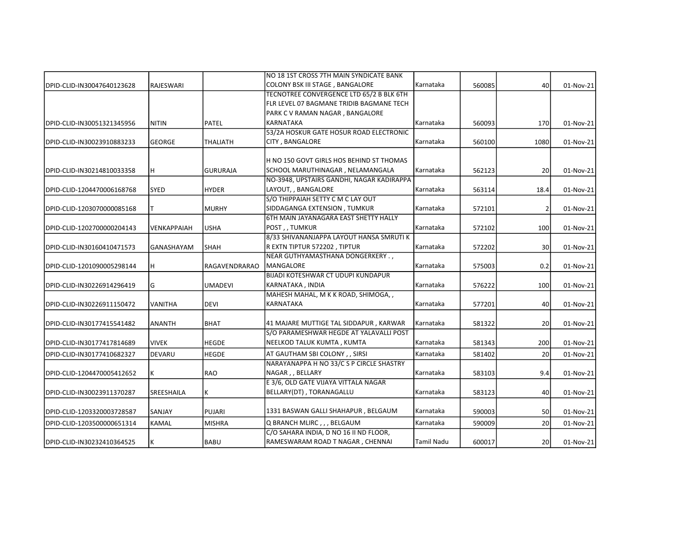|                            |                   |                      | NO 18 1ST CROSS 7TH MAIN SYNDICATE BANK      |                   |        |                 |           |
|----------------------------|-------------------|----------------------|----------------------------------------------|-------------------|--------|-----------------|-----------|
| DPID-CLID-IN30047640123628 | RAJESWARI         |                      | COLONY BSK III STAGE, BANGALORE              | Karnataka         | 560085 | 40              | 01-Nov-21 |
|                            |                   |                      | TECNOTREE CONVERGENCE LTD 65/2 B BLK 6TH     |                   |        |                 |           |
|                            |                   |                      | FLR LEVEL 07 BAGMANE TRIDIB BAGMANE TECH     |                   |        |                 |           |
|                            |                   |                      | PARK C V RAMAN NAGAR, BANGALORE              |                   |        |                 |           |
| DPID-CLID-IN30051321345956 | <b>NITIN</b>      | <b>PATEL</b>         | <b>KARNATAKA</b>                             | Karnataka         | 560093 | 170             | 01-Nov-21 |
|                            |                   |                      | 53/2A HOSKUR GATE HOSUR ROAD ELECTRONIC      |                   |        |                 |           |
| DPID-CLID-IN30023910883233 | <b>GEORGE</b>     | <b>THALIATH</b>      | CITY, BANGALORE                              | Karnataka         | 560100 | 1080            | 01-Nov-21 |
|                            |                   |                      | H NO 150 GOVT GIRLS HOS BEHIND ST THOMAS     |                   |        |                 |           |
| DPID-CLID-IN30214810033358 | H                 | <b>GURURAJA</b>      | SCHOOL MARUTHINAGAR, NELAMANGALA             | Karnataka         | 562123 | 20              | 01-Nov-21 |
|                            |                   |                      | NO-3948, UPSTAIRS GANDHI, NAGAR KADIRAPPA    |                   |        |                 |           |
| DPID-CLID-1204470006168768 | <b>SYED</b>       | <b>HYDER</b>         | LAYOUT, , BANGALORE                          | Karnataka         | 563114 | 18.4            | 01-Nov-21 |
|                            |                   |                      | S/O THIPPAIAH SETTY C M C LAY OUT            |                   |        |                 |           |
| DPID-CLID-1203070000085168 |                   | <b>MURHY</b>         | SIDDAGANGA EXTENSION, TUMKUR                 | Karnataka         | 572101 | 2               | 01-Nov-21 |
|                            |                   |                      | <b>6TH MAIN JAYANAGARA EAST SHETTY HALLY</b> |                   |        |                 |           |
| DPID-CLID-1202700000204143 | VENKAPPAIAH       | <b>USHA</b>          | POST, , TUMKUR                               | Karnataka         | 572102 | 100             | 01-Nov-21 |
|                            |                   |                      | 8/33 SHIVANANJAPPA LAYOUT HANSA SMRUTI K     |                   |        |                 |           |
| DPID-CLID-IN30160410471573 | <b>GANASHAYAM</b> | <b>SHAH</b>          | R EXTN TIPTUR 572202, TIPTUR                 | Karnataka         | 572202 | 30 <sup>1</sup> | 01-Nov-21 |
|                            |                   |                      | NEAR GUTHYAMASTHANA DONGERKERY . ,           |                   |        |                 |           |
| DPID-CLID-1201090005298144 | H                 | <b>RAGAVENDRARAO</b> | <b>MANGALORE</b>                             | Karnataka         | 575003 | 0.2             | 01-Nov-21 |
|                            |                   |                      | <b>BIJADI KOTESHWAR CT UDUPI KUNDAPUR</b>    |                   |        |                 |           |
| DPID-CLID-IN30226914296419 | G                 | <b>UMADEVI</b>       | KARNATAKA , INDIA                            | Karnataka         | 576222 | 100             | 01-Nov-21 |
|                            |                   |                      | MAHESH MAHAL, M K K ROAD, SHIMOGA, ,         |                   |        |                 |           |
| DPID-CLID-IN30226911150472 | VANITHA           | <b>DEVI</b>          | KARNATAKA                                    | Karnataka         | 577201 | 40              | 01-Nov-21 |
| DPID-CLID-IN30177415541482 | <b>ANANTH</b>     | <b>BHAT</b>          | 41 MAJARE MUTTIGE TAL SIDDAPUR, KARWAR       | Karnataka         | 581322 | 20 <sup>1</sup> | 01-Nov-21 |
|                            |                   |                      | S/O PARAMESHWAR HEGDE AT YALAVALLI POST      |                   |        |                 |           |
| DPID-CLID-IN30177417814689 | <b>VIVEK</b>      | <b>HEGDE</b>         | NEELKOD TALUK KUMTA , KUMTA                  | Karnataka         | 581343 | 200             | 01-Nov-21 |
| DPID-CLID-IN30177410682327 | DEVARU            | <b>HEGDE</b>         | AT GAUTHAM SBI COLONY, , SIRSI               | Karnataka         | 581402 | 20 <sup>1</sup> | 01-Nov-21 |
|                            |                   |                      | NARAYANAPPA H NO 33/C S P CIRCLE SHASTRY     |                   |        |                 |           |
| DPID-CLID-1204470005412652 | κ                 | <b>RAO</b>           | NAGAR, , BELLARY                             | Karnataka         | 583103 | 9.4             | 01-Nov-21 |
|                            |                   |                      | E 3/6, OLD GATE VIJAYA VITTALA NAGAR         |                   |        |                 |           |
| DPID-CLID-IN30023911370287 | SREESHAILA        | Κ                    | BELLARY(DT), TORANAGALLU                     | Karnataka         | 583123 | 40              | 01-Nov-21 |
| DPID-CLID-1203320003728587 | <b>SANJAY</b>     | PUJARI               | 1331 BASWAN GALLI SHAHAPUR, BELGAUM          | Karnataka         | 590003 | 50              | 01-Nov-21 |
| DPID-CLID-1203500000651314 | <b>KAMAL</b>      | MISHRA               | Q BRANCH MLIRC,,, BELGAUM                    | Karnataka         | 590009 | 20 <sup>1</sup> | 01-Nov-21 |
|                            |                   |                      | C/O SAHARA INDIA, D NO 16 II ND FLOOR,       |                   |        |                 |           |
| DPID-CLID-IN30232410364525 | K                 | <b>BABU</b>          | RAMESWARAM ROAD T NAGAR, CHENNAI             | <b>Tamil Nadu</b> | 600017 | 20              | 01-Nov-21 |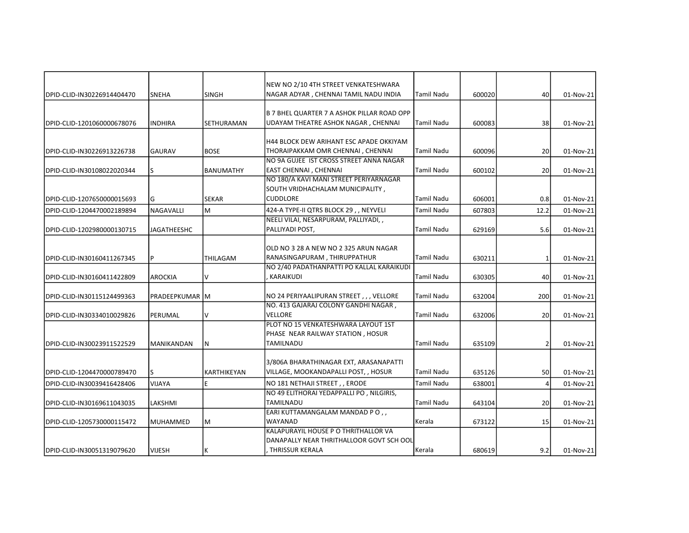|                            |                    |                    | NEW NO 2/10 4TH STREET VENKATESHWARA                             |                   |        |                 |           |
|----------------------------|--------------------|--------------------|------------------------------------------------------------------|-------------------|--------|-----------------|-----------|
| DPID-CLID-IN30226914404470 | <b>SNEHA</b>       | <b>SINGH</b>       | NAGAR ADYAR, CHENNAI TAMIL NADU INDIA                            | <b>Tamil Nadu</b> | 600020 | 40              | 01-Nov-21 |
|                            |                    |                    |                                                                  |                   |        |                 |           |
|                            |                    |                    | B 7 BHEL QUARTER 7 A ASHOK PILLAR ROAD OPP                       |                   |        |                 |           |
| DPID-CLID-1201060000678076 | <b>INDHIRA</b>     | <b>SETHURAMAN</b>  | UDAYAM THEATRE ASHOK NAGAR, CHENNAI                              | Tamil Nadu        | 600083 | 38              | 01-Nov-21 |
|                            |                    |                    |                                                                  |                   |        |                 |           |
|                            |                    |                    | H44 BLOCK DEW ARIHANT ESC APADE OKKIYAM                          |                   |        |                 |           |
| DPID-CLID-IN30226913226738 | <b>GAURAV</b>      | <b>BOSE</b>        | THORAIPAKKAM OMR CHENNAI, CHENNAI                                | <b>Tamil Nadu</b> | 600096 | 20 <sup>1</sup> | 01-Nov-21 |
|                            |                    |                    | NO 9A GUJEE IST CROSS STREET ANNA NAGAR                          |                   |        |                 |           |
| DPID-CLID-IN30108022020344 | ls.                | BANUMATHY          | EAST CHENNAI , CHENNAI<br>NO 180/A KAVI MANI STREET PERIYARNAGAR | <b>Tamil Nadu</b> | 600102 | 20 <sup>1</sup> | 01-Nov-21 |
|                            |                    |                    |                                                                  |                   |        |                 |           |
|                            |                    |                    | SOUTH VRIDHACHALAM MUNICIPALITY,                                 |                   |        |                 |           |
| DPID-CLID-1207650000015693 | lG                 | <b>SEKAR</b>       | <b>CUDDLORE</b>                                                  | Tamil Nadu        | 606001 | 0.8             | 01-Nov-21 |
| DPID-CLID-1204470002189894 | <b>NAGAVALLI</b>   | lм                 | 424-A TYPE-II QTRS BLOCK 29, , NEYVELI                           | Tamil Nadu        | 607803 | 12.2            | 01-Nov-21 |
|                            |                    |                    | NEELI VILAI, NESARPURAM, PALLIYADI, ,                            |                   |        |                 |           |
| DPID-CLID-1202980000130715 | <b>JAGATHEESHC</b> |                    | PALLIYADI POST,                                                  | <b>Tamil Nadu</b> | 629169 | 5.6             | 01-Nov-21 |
|                            |                    |                    |                                                                  |                   |        |                 |           |
|                            |                    |                    | OLD NO 3 28 A NEW NO 2 325 ARUN NAGAR                            |                   |        |                 |           |
| DPID-CLID-IN30160411267345 | P                  | THILAGAM           | RANASINGAPURAM, THIRUPPATHUR                                     | <b>Tamil Nadu</b> | 630211 | 1               | 01-Nov-21 |
|                            |                    |                    | NO 2/40 PADATHANPATTI PO KALLAL KARAIKUDI                        |                   |        |                 |           |
| DPID-CLID-IN30160411422809 | AROCKIA            | IV.                | KARAIKUDI                                                        | <b>Tamil Nadu</b> | 630305 | 40              | 01-Nov-21 |
|                            |                    |                    |                                                                  |                   |        |                 |           |
| DPID-CLID-IN30115124499363 | PRADEEPKUMAR   M   |                    | NO 24 PERIYAALIPURAN STREET , , , VELLORE                        | Tamil Nadu        | 632004 | 200             | 01-Nov-21 |
|                            |                    |                    | NO. 413 GAJARAJ COLONY GANDHI NAGAR,                             |                   |        |                 |           |
| DPID-CLID-IN30334010029826 | PERUMAL            | v                  | <b>VELLORE</b>                                                   | Tamil Nadu        | 632006 | 20 <sup>1</sup> | 01-Nov-21 |
|                            |                    |                    | PLOT NO 15 VENKATESHWARA LAYOUT 1ST                              |                   |        |                 |           |
|                            |                    |                    | PHASE NEAR RAILWAY STATION, HOSUR                                |                   |        |                 |           |
| DPID-CLID-IN30023911522529 | <b>MANIKANDAN</b>  | N                  | <b>TAMILNADU</b>                                                 | <b>Tamil Nadu</b> | 635109 | 2               | 01-Nov-21 |
|                            |                    |                    | 3/806A BHARATHINAGAR EXT, ARASANAPATTI                           |                   |        |                 |           |
|                            |                    |                    |                                                                  |                   |        |                 |           |
| DPID-CLID-1204470000789470 | lS.                | <b>KARTHIKEYAN</b> | VILLAGE, MOOKANDAPALLI POST, , HOSUR                             | <b>Tamil Nadu</b> | 635126 | 50              | 01-Nov-21 |
| DPID-CLID-IN30039416428406 | <b>VIJAYA</b>      | E                  | NO 181 NETHAJI STREET,, ERODE                                    | Tamil Nadu        | 638001 | 4               | 01-Nov-21 |
|                            |                    |                    | NO 49 ELITHORAI YEDAPPALLI PO, NILGIRIS,                         |                   |        |                 |           |
| DPID-CLID-IN30169611043035 | LAKSHMI            |                    | <b>TAMILNADU</b>                                                 | <b>Tamil Nadu</b> | 643104 | 20 <sup>1</sup> | 01-Nov-21 |
|                            |                    |                    | EARI KUTTAMANGALAM MANDAD PO,,                                   |                   |        |                 |           |
| DPID-CLID-1205730000115472 | <b>MUHAMMED</b>    | M                  | WAYANAD                                                          | Kerala            | 673122 | 15              | 01-Nov-21 |
|                            |                    |                    | KALAPURAYIL HOUSE P O THRITHALLOR VA                             |                   |        |                 |           |
|                            |                    |                    | DANAPALLY NEAR THRITHALLOOR GOVT SCH OOL                         |                   |        |                 |           |
| DPID-CLID-IN30051319079620 | <b>VIJESH</b>      | ΙK                 | . THRISSUR KERALA                                                | Kerala            | 680619 | 9.2             | 01-Nov-21 |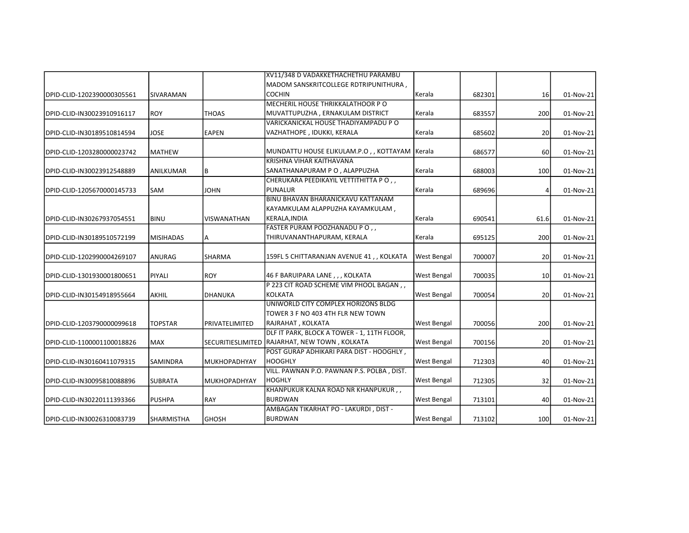|                            |                   |                     | XV11/348 D VADAKKETHACHETHU PARAMBU           |                    |        |      |           |
|----------------------------|-------------------|---------------------|-----------------------------------------------|--------------------|--------|------|-----------|
|                            |                   |                     | MADOM SANSKRITCOLLEGE RDTRIPUNITHURA,         |                    |        |      |           |
| DPID-CLID-1202390000305561 | SIVARAMAN         |                     | <b>COCHIN</b>                                 | Kerala             | 682301 | 16   | 01-Nov-21 |
|                            |                   |                     | MECHERIL HOUSE THRIKKALATHOOR PO              |                    |        |      |           |
| DPID-CLID-IN30023910916117 | <b>ROY</b>        | <b>THOAS</b>        | MUVATTUPUZHA, ERNAKULAM DISTRICT              | Kerala             | 683557 | 200  | 01-Nov-21 |
|                            |                   |                     | VARICKANICKAL HOUSE THADIYAMPADU PO           |                    |        |      |           |
| DPID-CLID-IN30189510814594 | JOSE              | <b>EAPEN</b>        | VAZHATHOPE, IDUKKI, KERALA                    | Kerala             | 685602 | 20   | 01-Nov-21 |
| DPID-CLID-1203280000023742 | <b>MATHEW</b>     |                     | MUNDATTU HOUSE ELIKULAM.P.O., KOTTAYAM Kerala |                    | 686577 | 60   | 01-Nov-21 |
|                            |                   |                     | KRISHNA VIHAR KAITHAVANA                      |                    |        |      |           |
| DPID-CLID-IN30023912548889 | ANILKUMAR         | B                   | SANATHANAPURAM P O, ALAPPUZHA                 | Kerala             | 688003 | 100  | 01-Nov-21 |
|                            |                   |                     | CHERUKARA PEEDIKAYIL VETTITHITTA PO,,         |                    |        |      |           |
| DPID-CLID-1205670000145733 | <b>SAM</b>        | <b>JOHN</b>         | <b>PUNALUR</b>                                | Kerala             | 689696 | 4    | 01-Nov-21 |
|                            |                   |                     | BINU BHAVAN BHARANICKAVU KATTANAM             |                    |        |      |           |
|                            |                   |                     | KAYAMKULAM ALAPPUZHA KAYAMKULAM,              |                    |        |      |           |
| DPID-CLID-IN30267937054551 | <b>BINU</b>       | <b>VISWANATHAN</b>  | KERALA, INDIA                                 | Kerala             | 690541 | 61.6 | 01-Nov-21 |
|                            |                   |                     | FASTER PURAM POOZHANADU PO,                   |                    |        |      |           |
| DPID-CLID-IN30189510572199 | <b>MISIHADAS</b>  | A                   | THIRUVANANTHAPURAM, KERALA                    | Kerala             | 695125 | 200  | 01-Nov-21 |
| DPID-CLID-1202990004269107 | ANURAG            | <b>SHARMA</b>       | 159FL 5 CHITTARANJAN AVENUE 41,, KOLKATA      | West Bengal        | 700007 | 20   | 01-Nov-21 |
| DPID-CLID-1301930001800651 | <b>PIYALI</b>     | <b>ROY</b>          | 46 F BARUIPARA LANE, , , KOLKATA              | <b>West Bengal</b> | 700035 | 10   | 01-Nov-21 |
|                            |                   |                     | P 223 CIT ROAD SCHEME VIM PHOOL BAGAN,        |                    |        |      |           |
| DPID-CLID-IN30154918955664 | AKHIL             | DHANUKA             | <b>KOLKATA</b>                                | <b>West Bengal</b> | 700054 | 20   | 01-Nov-21 |
|                            |                   |                     | UNIWORLD CITY COMPLEX HORIZONS BLDG           |                    |        |      |           |
|                            |                   |                     | TOWER 3 F NO 403 4TH FLR NEW TOWN             |                    |        |      |           |
| DPID-CLID-1203790000099618 | <b>TOPSTAR</b>    | PRIVATELIMITED      | RAJRAHAT, KOLKATA                             | <b>West Bengal</b> | 700056 | 200  | 01-Nov-21 |
|                            |                   |                     | DLF IT PARK, BLOCK A TOWER - 1, 11TH FLOOR,   |                    |        |      |           |
| DPID-CLID-1100001100018826 | MAX               |                     | SECURITIESLIMITED RAJARHAT, NEW TOWN, KOLKATA | <b>West Bengal</b> | 700156 | 20   | 01-Nov-21 |
|                            |                   |                     | POST GURAP ADHIKARI PARA DIST - HOOGHLY,      |                    |        |      |           |
| DPID-CLID-IN30160411079315 | <b>SAMINDRA</b>   | MUKHOPADHYAY        | <b>HOOGHLY</b>                                | <b>West Bengal</b> | 712303 | 40   | 01-Nov-21 |
|                            |                   |                     | VILL. PAWNAN P.O. PAWNAN P.S. POLBA, DIST.    |                    |        |      |           |
| DPID-CLID-IN30095810088896 | <b>SUBRATA</b>    | <b>MUKHOPADHYAY</b> | <b>HOGHLY</b>                                 | <b>West Bengal</b> | 712305 | 32   | 01-Nov-21 |
|                            |                   |                     | KHANPUKUR KALNA ROAD NR KHANPUKUR,,           |                    |        |      |           |
| DPID-CLID-IN30220111393366 | <b>PUSHPA</b>     | <b>RAY</b>          | <b>BURDWAN</b>                                | <b>West Bengal</b> | 713101 | 40   | 01-Nov-21 |
|                            |                   |                     | AMBAGAN TIKARHAT PO - LAKURDI, DIST -         |                    |        |      |           |
| DPID-CLID-IN30026310083739 | <b>SHARMISTHA</b> | <b>GHOSH</b>        | <b>BURDWAN</b>                                | <b>West Bengal</b> | 713102 | 100  | 01-Nov-21 |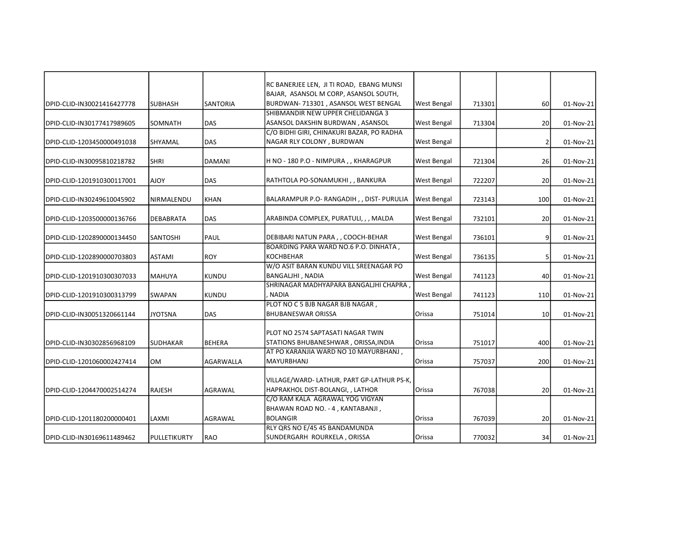|                            |                  |                 | RC BANERJEE LEN, JI TI ROAD, EBANG MUNSI                                  |                    |        |                 |           |
|----------------------------|------------------|-----------------|---------------------------------------------------------------------------|--------------------|--------|-----------------|-----------|
|                            |                  |                 | BAJAR, ASANSOL M CORP, ASANSOL SOUTH,                                     |                    |        |                 |           |
| DPID-CLID-IN30021416427778 | <b>SUBHASH</b>   | <b>SANTORIA</b> | BURDWAN- 713301, ASANSOL WEST BENGAL                                      | <b>West Bengal</b> | 713301 | 60              | 01-Nov-21 |
|                            |                  |                 | SHIBMANDIR NEW UPPER CHELIDANGA 3                                         |                    |        |                 |           |
| DPID-CLID-IN30177417989605 | SOMNATH          | <b>DAS</b>      | ASANSOL DAKSHIN BURDWAN, ASANSOL                                          | <b>West Bengal</b> | 713304 | 20              | 01-Nov-21 |
|                            |                  |                 | C/O BIDHI GIRI, CHINAKURI BAZAR, PO RADHA                                 |                    |        |                 |           |
| DPID-CLID-1203450000491038 | SHYAMAL          | DAS             | NAGAR RLY COLONY, BURDWAN                                                 | West Bengal        |        | 2               | 01-Nov-21 |
| DPID-CLID-IN30095810218782 | <b>SHRI</b>      | <b>DAMANI</b>   | H NO - 180 P.O - NIMPURA,, KHARAGPUR                                      | West Bengal        | 721304 | 26              | 01-Nov-21 |
| DPID-CLID-1201910300117001 | YOLA             | <b>DAS</b>      | RATHTOLA PO-SONAMUKHI, , BANKURA                                          | West Bengal        | 722207 | 20 <sub>2</sub> | 01-Nov-21 |
| DPID-CLID-IN30249610045902 | NIRMALENDU       | <b>KHAN</b>     | BALARAMPUR P.O-RANGADIH, , DIST- PURULIA                                  | <b>West Bengal</b> | 723143 | 100             | 01-Nov-21 |
| DPID-CLID-1203500000136766 | <b>DEBABRATA</b> | DAS             | ARABINDA COMPLEX, PURATULI, , , MALDA                                     | <b>West Bengal</b> | 732101 | 20 <sup>1</sup> | 01-Nov-21 |
| DPID-CLID-1202890000134450 | SANTOSHI         | PAUL            | DEBIBARI NATUN PARA,, COOCH-BEHAR                                         | <b>West Bengal</b> | 736101 | 9 <sup>1</sup>  | 01-Nov-21 |
|                            |                  |                 | BOARDING PARA WARD NO.6 P.O. DINHATA,                                     |                    |        |                 |           |
| DPID-CLID-1202890000703803 | <b>ASTAMI</b>    | <b>ROY</b>      | <b>KOCHBEHAR</b>                                                          | <b>West Bengal</b> | 736135 | 5 <sup>1</sup>  | 01-Nov-21 |
|                            |                  |                 | W/O ASIT BARAN KUNDU VILL SREENAGAR PO                                    |                    |        |                 |           |
| DPID-CLID-1201910300307033 | <b>MAHUYA</b>    | <b>KUNDU</b>    | BANGALJHI, NADIA                                                          | <b>West Bengal</b> | 741123 | 40              | 01-Nov-21 |
|                            |                  |                 | SHRINAGAR MADHYAPARA BANGALJHI CHAPRA,                                    |                    |        |                 |           |
| DPID-CLID-1201910300313799 | SWAPAN           | <b>KUNDU</b>    | NADIA                                                                     | <b>West Bengal</b> | 741123 | 110             | 01-Nov-21 |
| DPID-CLID-IN30051320661144 | <b>JYOTSNA</b>   | DAS             | PLOT NO C 5 BJB NAGAR BJB NAGAR,<br><b>BHUBANESWAR ORISSA</b>             | Orissa             | 751014 | 10 <sup>1</sup> | 01-Nov-21 |
|                            |                  |                 |                                                                           |                    |        |                 |           |
|                            |                  |                 | PLOT NO 2574 SAPTASATI NAGAR TWIN<br>STATIONS BHUBANESHWAR, ORISSA, INDIA | Orissa             |        |                 |           |
| DPID-CLID-IN30302856968109 | <b>SUDHAKAR</b>  | <b>BEHERA</b>   | AT PO KARANJIA WARD NO 10 MAYURBHANJ,                                     |                    | 751017 | 400             | 01-Nov-21 |
| DPID-CLID-1201060002427414 | <b>OM</b>        | AGARWALLA       | <b>MAYURBHANJ</b>                                                         | Orissa             | 757037 | 200             | 01-Nov-21 |
|                            |                  |                 |                                                                           |                    |        |                 |           |
|                            |                  |                 | VILLAGE/WARD- LATHUR, PART GP-LATHUR PS-K,                                |                    |        |                 |           |
| DPID-CLID-1204470002514274 | RAJESH           | AGRAWAL         | HAPRAKHOL DIST-BOLANGI, , LATHOR                                          | Orissa             | 767038 | 20 <sub>2</sub> | 01-Nov-21 |
|                            |                  |                 | C/O RAM KALA AGRAWAL YOG VIGYAN                                           |                    |        |                 |           |
|                            |                  |                 | BHAWAN ROAD NO. - 4, KANTABANJI,                                          |                    |        |                 |           |
| DPID-CLID-1201180200000401 | LAXMI            | AGRAWAL         | <b>BOLANGIR</b>                                                           | Orissa             | 767039 | 20              | 01-Nov-21 |
|                            |                  |                 | RLY QRS NO E/45 45 BANDAMUNDA                                             |                    |        |                 |           |
| DPID-CLID-IN30169611489462 | PULLETIKURTY     | RAO             | SUNDERGARH ROURKELA, ORISSA                                               | Orissa             | 770032 | 34              | 01-Nov-21 |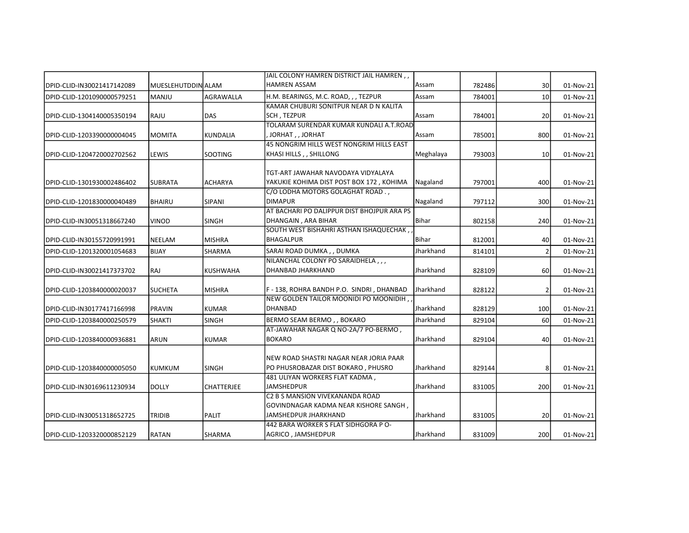|                            |                    |                   | JAIL COLONY HAMREN DISTRICT JAIL HAMREN,                 |           |        |                 |           |
|----------------------------|--------------------|-------------------|----------------------------------------------------------|-----------|--------|-----------------|-----------|
| DPID-CLID-IN30021417142089 | MUESLEHUTDDIN ALAM |                   | <b>HAMREN ASSAM</b>                                      | Assam     | 782486 | 30 <sup>1</sup> | 01-Nov-21 |
| DPID-CLID-1201090000579251 | MANJU              | AGRAWALLA         | H.M. BEARINGS, M.C. ROAD, , , TEZPUR                     | Assam     | 784001 | 10 <sup>1</sup> | 01-Nov-21 |
|                            |                    |                   | KAMAR CHUBURI SONITPUR NEAR D N KALITA                   |           |        |                 |           |
| DPID-CLID-1304140005350194 | RAJU               | DAS               | SCH, TEZPUR                                              | Assam     | 784001 | 20 <sup>1</sup> | 01-Nov-21 |
|                            |                    |                   | TOLARAM SURENDAR KUMAR KUNDALI A.T.ROAD                  |           |        |                 |           |
| DPID-CLID-1203390000004045 | <b>MOMITA</b>      | <b>KUNDALIA</b>   | , JORHAT, , JORHAT                                       | Assam     | 785001 | 800             | 01-Nov-21 |
|                            |                    |                   | 45 NONGRIM HILLS WEST NONGRIM HILLS EAST                 |           |        |                 |           |
| DPID-CLID-1204720002702562 | LEWIS              | <b>SOOTING</b>    | KHASI HILLS, , SHILLONG                                  | Meghalaya | 793003 | 10              | 01-Nov-21 |
|                            |                    |                   | TGT-ART JAWAHAR NAVODAYA VIDYALAYA                       |           |        |                 |           |
| DPID-CLID-1301930002486402 | <b>SUBRATA</b>     | <b>ACHARYA</b>    | YAKUKIE KOHIMA DIST POST BOX 172, KOHIMA                 | Nagaland  | 797001 | 400             | 01-Nov-21 |
|                            |                    |                   | C/O LODHA MOTORS GOLAGHAT ROAD.,                         |           |        |                 |           |
| DPID-CLID-1201830000040489 | <b>BHAIRU</b>      | <b>SIPANI</b>     | <b>DIMAPUR</b>                                           | Nagaland  | 797112 | 300             | 01-Nov-21 |
|                            |                    |                   | AT BACHARI PO DALIPPUR DIST BHOJPUR ARA PS               |           |        |                 |           |
| DPID-CLID-IN30051318667240 | <b>VINOD</b>       | <b>SINGH</b>      | DHANGAIN, ARA BIHAR                                      | Bihar     | 802158 | 240             | 01-Nov-21 |
|                            |                    |                   | SOUTH WEST BISHAHRI ASTHAN ISHAQUECHAK,                  |           |        |                 |           |
| DPID-CLID-IN30155720991991 | NEELAM             | <b>MISHRA</b>     | <b>BHAGALPUR</b>                                         | Bihar     | 812001 | 40              | 01-Nov-21 |
| DPID-CLID-1201320001054683 | <b>BIJAY</b>       | SHARMA            | SARAI ROAD DUMKA,, DUMKA                                 | Jharkhand | 814101 | $\overline{2}$  | 01-Nov-21 |
|                            |                    |                   | NILANCHAL COLONY PO SARAIDHELA,,,                        |           |        |                 |           |
| DPID-CLID-IN30021417373702 | RAJ                | <b>KUSHWAHA</b>   | DHANBAD JHARKHAND                                        | Jharkhand | 828109 | 60              | 01-Nov-21 |
|                            |                    |                   |                                                          |           |        |                 |           |
| DPID-CLID-1203840000020037 | <b>SUCHETA</b>     | <b>MISHRA</b>     | F-138, ROHRA BANDH P.O. SINDRI, DHANBAD                  | Jharkhand | 828122 | 2               | 01-Nov-21 |
|                            |                    |                   | NEW GOLDEN TAILOR MOONIDI PO MOONIDIH,<br><b>DHANBAD</b> | Jharkhand |        |                 |           |
| DPID-CLID-IN30177417166998 | <b>PRAVIN</b>      | <b>KUMAR</b>      |                                                          |           | 828129 | 100             | 01-Nov-21 |
| DPID-CLID-1203840000250579 | <b>SHAKTI</b>      | <b>SINGH</b>      | BERMO SEAM BERMO, , BOKARO                               | Jharkhand | 829104 | 60              | 01-Nov-21 |
|                            |                    |                   | AT-JAWAHAR NAGAR Q NO-2A/7 PO-BERMO,                     |           |        |                 |           |
| DPID-CLID-1203840000936881 | <b>ARUN</b>        | <b>KUMAR</b>      | <b>BOKARO</b>                                            | Jharkhand | 829104 | 40              | 01-Nov-21 |
|                            |                    |                   | NEW ROAD SHASTRI NAGAR NEAR JORIA PAAR                   |           |        |                 |           |
| DPID-CLID-1203840000005050 | <b>KUMKUM</b>      | <b>SINGH</b>      | PO PHUSROBAZAR DIST BOKARO, PHUSRO                       | Jharkhand | 829144 | 8               | 01-Nov-21 |
|                            |                    |                   | 481 ULIYAN WORKERS FLAT KADMA,                           |           |        |                 |           |
| DPID-CLID-IN30169611230934 | <b>DOLLY</b>       | <b>CHATTERJEE</b> | <b>JAMSHEDPUR</b>                                        | Jharkhand | 831005 | 200             | 01-Nov-21 |
|                            |                    |                   | C2 B S MANSION VIVEKANANDA ROAD                          |           |        |                 |           |
|                            |                    |                   | GOVINDNAGAR KADMA NEAR KISHORE SANGH,                    |           |        |                 |           |
| DPID-CLID-IN30051318652725 | TRIDIB             | PALIT             | JAMSHEDPUR JHARKHAND                                     | Jharkhand | 831005 | 20 <sup>1</sup> | 01-Nov-21 |
|                            |                    |                   | 442 BARA WORKER S FLAT SIDHGORA P O-                     |           |        |                 |           |
| DPID-CLID-1203320000852129 | RATAN              | SHARMA            | AGRICO, JAMSHEDPUR                                       | Jharkhand | 831009 | 200             | 01-Nov-21 |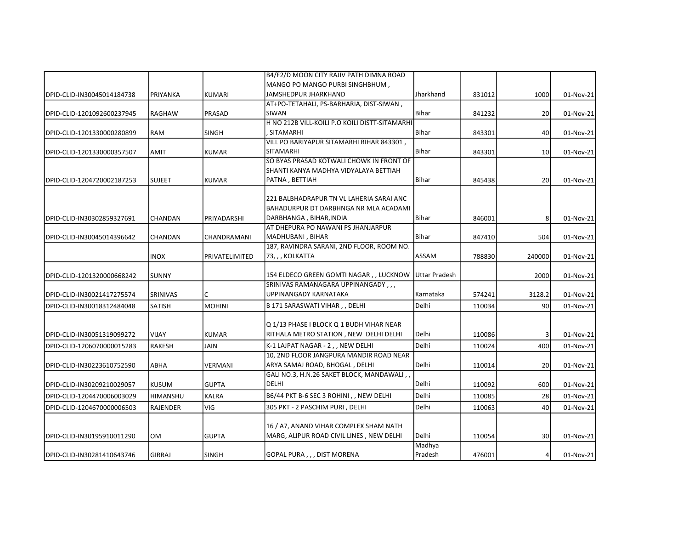|                            |                 |                    | B4/F2/D MOON CITY RAJIV PATH DIMNA ROAD                                            |                      |        |                 |           |
|----------------------------|-----------------|--------------------|------------------------------------------------------------------------------------|----------------------|--------|-----------------|-----------|
|                            |                 |                    | MANGO PO MANGO PURBI SINGHBHUM,                                                    |                      |        |                 |           |
| DPID-CLID-IN30045014184738 | PRIYANKA        | <b>KUMARI</b>      | JAMSHEDPUR JHARKHAND                                                               | Jharkhand            | 831012 | 1000            | 01-Nov-21 |
|                            |                 |                    | AT+PO-TETAHALI, PS-BARHARIA, DIST-SIWAN,                                           |                      |        |                 |           |
| DPID-CLID-1201092600237945 | RAGHAW          | PRASAD             | <b>SIWAN</b>                                                                       | <b>Bihar</b>         | 841232 | 20              | 01-Nov-21 |
|                            |                 |                    | H NO 212B VILL-KOILI P.O KOILI DISTT-SITAMARHI                                     |                      |        |                 |           |
| DPID-CLID-1201330000280899 | <b>RAM</b>      | <b>SINGH</b>       | , SITAMARHI                                                                        | Bihar                | 843301 | 40              | 01-Nov-21 |
|                            |                 |                    | VILL PO BARIYAPUR SITAMARHI BIHAR 843301,                                          |                      |        |                 |           |
| DPID-CLID-1201330000357507 | <b>AMIT</b>     | <b>KUMAR</b>       | <b>SITAMARHI</b>                                                                   | Bihar                | 843301 | 10 <sup>1</sup> | 01-Nov-21 |
|                            |                 |                    | SO BYAS PRASAD KOTWALI CHOWK IN FRONT OF                                           |                      |        |                 |           |
|                            |                 |                    | SHANTI KANYA MADHYA VIDYALAYA BETTIAH                                              |                      |        |                 |           |
| DPID-CLID-1204720002187253 | <b>SUJEET</b>   | <b>KUMAR</b>       | PATNA, BETTIAH                                                                     | <b>Bihar</b>         | 845438 | 20              | 01-Nov-21 |
|                            |                 |                    | 221 BALBHADRAPUR TN VL LAHERIA SARAI ANC                                           |                      |        |                 |           |
|                            |                 |                    | BAHADURPUR DT DARBHNGA NR MLA ACADAMI                                              |                      |        |                 |           |
| DPID-CLID-IN30302859327691 | <b>CHANDAN</b>  | PRIYADARSHI        | DARBHANGA, BIHAR, INDIA                                                            | Bihar                | 846001 | 8               | 01-Nov-21 |
|                            |                 |                    | AT DHEPURA PO NAWANI PS JHANJARPUR                                                 |                      |        |                 |           |
| DPID-CLID-IN30045014396642 | <b>CHANDAN</b>  | <b>CHANDRAMANI</b> | MADHUBANI, BIHAR                                                                   | Bihar                | 847410 | 504             | 01-Nov-21 |
|                            |                 |                    | 187, RAVINDRA SARANI, 2ND FLOOR, ROOM NO.                                          |                      |        |                 |           |
|                            | <b>INOX</b>     | PRIVATELIMITED     | 73, , , KOLKATTA                                                                   | ASSAM                | 788830 | 240000          | 01-Nov-21 |
|                            |                 |                    |                                                                                    |                      |        |                 |           |
| DPID-CLID-1201320000668242 | <b>SUNNY</b>    |                    | 154 ELDECO GREEN GOMTI NAGAR, , LUCKNOW                                            | <b>Uttar Pradesh</b> |        | 2000            | 01-Nov-21 |
|                            |                 |                    | SRINIVAS RAMANAGARA UPPINANGADY,,,                                                 |                      |        |                 |           |
| DPID-CLID-IN30021417275574 | SRINIVAS        | C                  | UPPINANGADY KARNATAKA                                                              | Karnataka            | 574241 | 3128.2          | 01-Nov-21 |
| DPID-CLID-IN30018312484048 | <b>SATISH</b>   | <b>MOHINI</b>      | B 171 SARASWATI VIHAR, , DELHI                                                     | Delhi                | 110034 | 90 <sub>0</sub> | 01-Nov-21 |
|                            |                 |                    |                                                                                    |                      |        |                 |           |
|                            |                 |                    | Q 1/13 PHASE I BLOCK Q 1 BUDH VIHAR NEAR                                           | Delhi                |        |                 |           |
| DPID-CLID-IN30051319099272 | <b>VIJAY</b>    | <b>KUMAR</b>       | RITHALA METRO STATION , NEW DELHI DELHI                                            |                      | 110086 | 3 <sup>1</sup>  | 01-Nov-21 |
| DPID-CLID-1206070000015283 | <b>RAKESH</b>   | <b>JAIN</b>        | K-1 LAJPAT NAGAR - 2 , , NEW DELHI                                                 | Delhi                | 110024 | 400             | 01-Nov-21 |
|                            |                 |                    | 10. 2ND FLOOR JANGPURA MANDIR ROAD NEAR                                            |                      |        |                 |           |
| DPID-CLID-IN30223610752590 | ABHA            | <b>VERMANI</b>     | ARYA SAMAJ ROAD, BHOGAL, DELHI                                                     | Delhi                | 110014 | 20 <sup>1</sup> | 01-Nov-21 |
|                            |                 |                    | GALI NO.3, H.N.26 SAKET BLOCK, MANDAWALI,                                          |                      |        |                 |           |
| DPID-CLID-IN30209210029057 | <b>KUSUM</b>    | <b>GUPTA</b>       | <b>DELHI</b>                                                                       | Delhi                | 110092 | 600             | 01-Nov-21 |
| DPID-CLID-1204470006003029 | <b>HIMANSHU</b> | KALRA              | B6/44 PKT B-6 SEC 3 ROHINI, , NEW DELHI                                            | Delhi                | 110085 | 28              | 01-Nov-21 |
| DPID-CLID-1204670000006503 | <b>RAJENDER</b> | VIG                | 305 PKT - 2 PASCHIM PURI, DELHI                                                    | <b>Delhi</b>         | 110063 | 40              | 01-Nov-21 |
|                            |                 |                    |                                                                                    |                      |        |                 |           |
|                            | <b>OM</b>       | <b>GUPTA</b>       | 16 / A7, ANAND VIHAR COMPLEX SHAM NATH<br>MARG, ALIPUR ROAD CIVIL LINES, NEW DELHI | Delhi                | 110054 | 30 <sup>1</sup> |           |
| DPID-CLID-IN30195910011290 |                 |                    |                                                                                    | Madhya               |        |                 | 01-Nov-21 |
| DPID-CLID-IN30281410643746 | <b>GIRRAJ</b>   | <b>SINGH</b>       | GOPAL PURA,,, DIST MORENA                                                          | Pradesh              | 476001 | $\vert$         | 01-Nov-21 |
|                            |                 |                    |                                                                                    |                      |        |                 |           |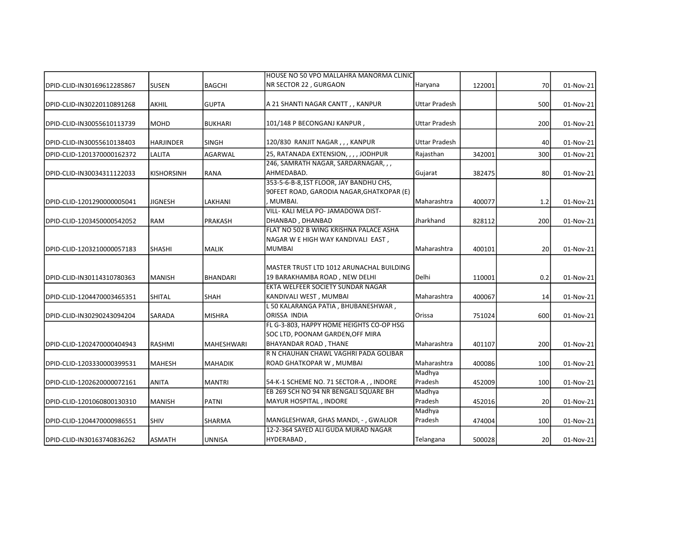|                            |                   |                   | IHOUSE NO 50 VPO MALLAHRA MANORMA CLINICI                                                                       |                      |        |     |           |
|----------------------------|-------------------|-------------------|-----------------------------------------------------------------------------------------------------------------|----------------------|--------|-----|-----------|
| DPID-CLID-IN30169612285867 | <b>SUSEN</b>      | <b>BAGCHI</b>     | NR SECTOR 22, GURGAON                                                                                           | Haryana              | 122001 | 70  | 01-Nov-21 |
| DPID-CLID-IN30220110891268 | <b>AKHIL</b>      | <b>GUPTA</b>      | A 21 SHANTI NAGAR CANTT,, KANPUR                                                                                | Uttar Pradesh        |        | 500 | 01-Nov-21 |
| DPID-CLID-IN30055610113739 | <b>MOHD</b>       | <b>BUKHARI</b>    | 101/148 P BECONGANJ KANPUR,                                                                                     | Uttar Pradesh        |        | 200 | 01-Nov-21 |
| DPID-CLID-IN30055610138403 | <b>HARJINDER</b>  | <b>SINGH</b>      | 120/830 RANJIT NAGAR , , , KANPUR                                                                               | <b>Uttar Pradesh</b> |        | 40  | 01-Nov-21 |
| DPID-CLID-1201370000162372 | LALITA            | <b>AGARWAL</b>    | 25, RATANADA EXTENSION, , , , JODHPUR                                                                           | Rajasthan            | 342001 | 300 | 01-Nov-21 |
| DPID-CLID-IN30034311122033 | <b>KISHORSINH</b> | <b>RANA</b>       | 246, SAMRATH NAGAR, SARDARNAGAR, , ,<br>AHMEDABAD.                                                              | Gujarat              | 382475 | 80  | 01-Nov-21 |
| DPID-CLID-1201290000005041 | JIGNESH           | LAKHANI           | 353-5-6-B-8,1ST FLOOR, JAY BANDHU CHS,<br>90FEET ROAD, GARODIA NAGAR, GHATKOPAR (E)<br>MUMBAI.                  | Maharashtra          | 400077 | 1.2 | 01-Nov-21 |
| DPID-CLID-1203450000542052 | <b>RAM</b>        | <b>PRAKASH</b>    | VILL- KALI MELA PO- JAMADOWA DIST-<br>DHANBAD, DHANBAD                                                          | Jharkhand            | 828112 | 200 | 01-Nov-21 |
| DPID-CLID-1203210000057183 | <b>SHASHI</b>     | <b>MALIK</b>      | FLAT NO 502 B WING KRISHNA PALACE ASHA<br>NAGAR W E HIGH WAY KANDIVALI EAST,<br><b>MUMBAI</b>                   | l Maharashtra        | 400101 | 20  | 01-Nov-21 |
| DPID-CLID-IN30114310780363 | <b>MANISH</b>     | <b>BHANDARI</b>   | IMASTER TRUST LTD 1012 ARUNACHAL BUILDING<br>19 BARAKHAMBA ROAD, NEW DELHI<br>EKTA WELFEER SOCIETY SUNDAR NAGAR | l Delhi              | 110001 | 0.2 | 01-Nov-21 |
| DPID-CLID-1204470003465351 | <b>SHITAL</b>     | <b>SHAH</b>       | KANDIVALI WEST, MUMBAI                                                                                          | Maharashtra          | 400067 | 14  | 01-Nov-21 |
| DPID-CLID-IN30290243094204 | SARADA            | MISHRA            | L 50 KALARANGA PATIA, BHUBANESHWAR,<br><b>ORISSA INDIA</b>                                                      | Orissa               | 751024 | 600 | 01-Nov-21 |
| DPID-CLID-1202470000404943 | <b>RASHMI</b>     | <b>MAHESHWARI</b> | FL G-3-803. HAPPY HOME HEIGHTS CO-OP HSG<br>SOC LTD, POONAM GARDEN, OFF MIRA<br><b>BHAYANDAR ROAD, THANE</b>    | Maharashtra          | 401107 | 200 | 01-Nov-21 |
| DPID-CLID-1203330000399531 | <b>MAHESH</b>     | <b>MAHADIK</b>    | R N CHAUHAN CHAWL VAGHRI PADA GOLIBAR<br>ROAD GHATKOPAR W, MUMBAI                                               | Maharashtra          | 400086 | 100 | 01-Nov-21 |
| DPID-CLID-1202620000072161 | ANITA             | <b>MANTRI</b>     | 54-K-1 SCHEME NO. 71 SECTOR-A,, INDORE                                                                          | Madhya<br>Pradesh    | 452009 | 100 | 01-Nov-21 |
| DPID-CLID-1201060800130310 | <b>MANISH</b>     | <b>PATNI</b>      | EB 269 SCH NO 94 NR BENGALI SQUARE BH<br>MAYUR HOSPITAL, INDORE                                                 | Madhya<br>Pradesh    | 452016 | 20  | 01-Nov-21 |
| DPID-CLID-1204470000986551 | <b>SHIV</b>       | <b>SHARMA</b>     | MANGLESHWAR, GHAS MANDI, -, GWALIOR                                                                             | Madhya<br>Pradesh    | 474004 | 100 | 01-Nov-21 |
| DPID-CLID-IN30163740836262 | <b>ASMATH</b>     | UNNISA            | 12-2-364 SAYED ALI GUDA MURAD NAGAR<br>HYDERABAD,                                                               | Telangana            | 500028 | 20  | 01-Nov-21 |